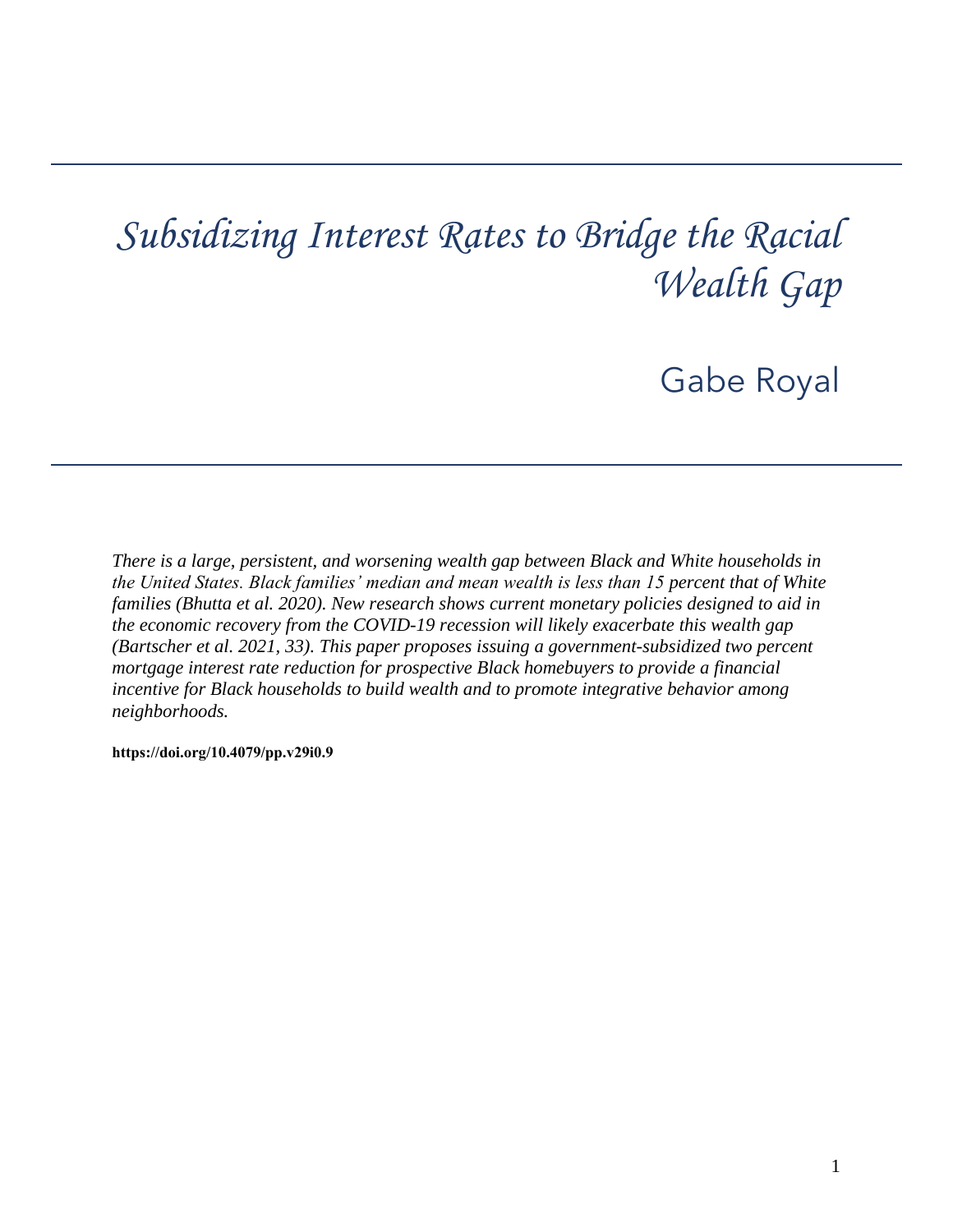# *Subsidizing Interest Rates to Bridge the Racial Wealth Gap*

Gabe Royal

*There is a large, persistent, and worsening wealth gap between Black and White households in the United States. Black families' median and mean wealth is less than 15 percent that of White families (Bhutta et al. 2020). New research shows current monetary policies designed to aid in the economic recovery from the COVID-19 recession will likely exacerbate this wealth gap (Bartscher et al. 2021, 33). This paper proposes issuing a government-subsidized two percent mortgage interest rate reduction for prospective Black homebuyers to provide a financial incentive for Black households to build wealth and to promote integrative behavior among neighborhoods.* 

**[https://doi.org/10.4079/pp.v29i0.9](https://doi.org/10.4079/pp.v28i0.9)**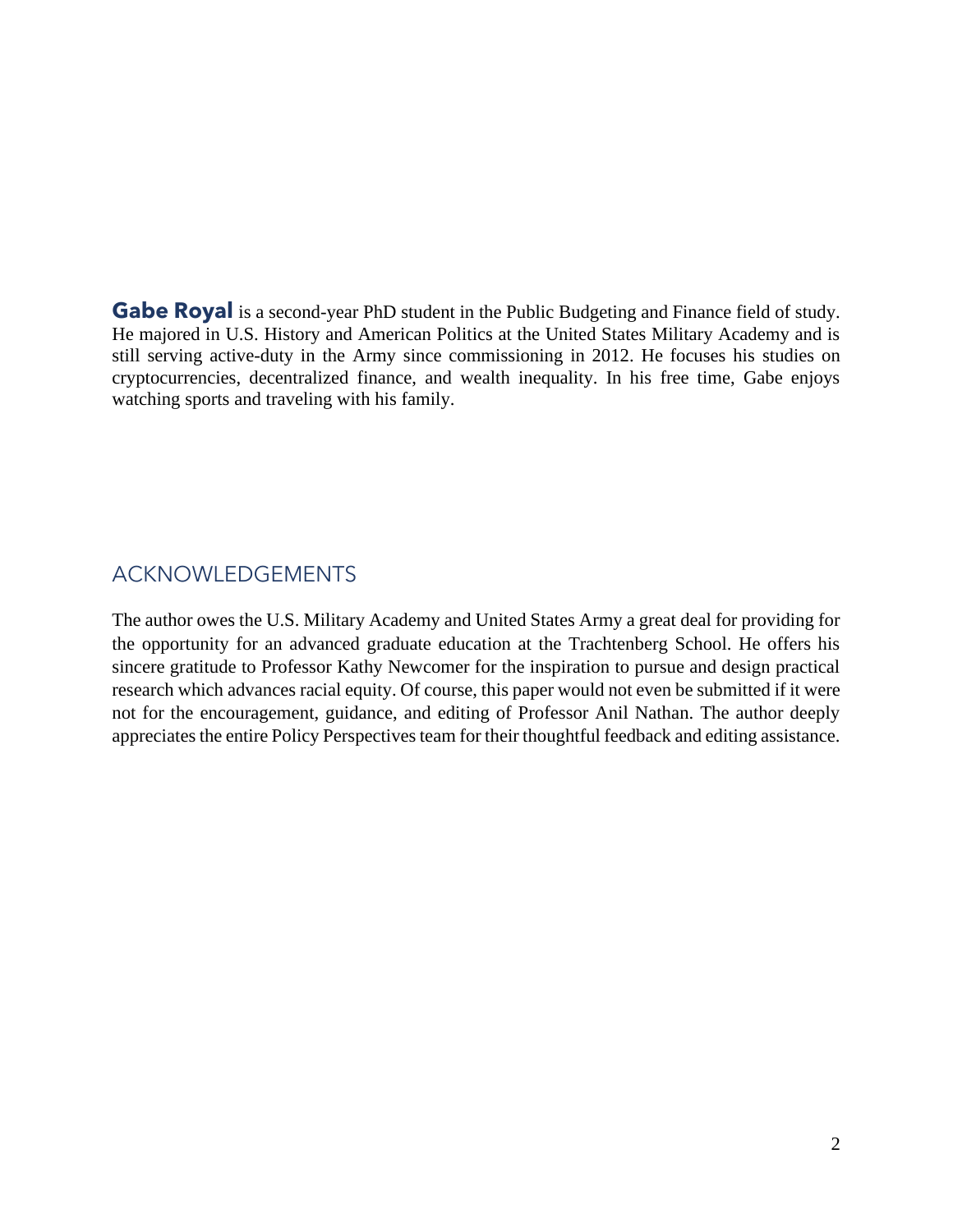still serving active-duty in the Army since commissioning in 2012. He focuses his studies on cryptocurrencies, decentralized finance, and wealth inequality. In his free time, Gabe enjoys **Gabe Royal** is a second-year PhD student in the Public Budgeting and Finance field of study. He majored in U.S. History and American Politics at the United States Military Academy and is watching sports and traveling with his family.

# ACKNOWLEDGEMENTS

 The author owes the U.S. Military Academy and United States Army a great deal for providing for research which advances racial equity. Of course, this paper would not even be submitted if it were not for the encouragement, guidance, and editing of Professor Anil Nathan. The author deeply the opportunity for an advanced graduate education at the Trachtenberg School. He offers his sincere gratitude to Professor Kathy Newcomer for the inspiration to pursue and design practical appreciates the entire Policy Perspectives team for their thoughtful feedback and editing assistance.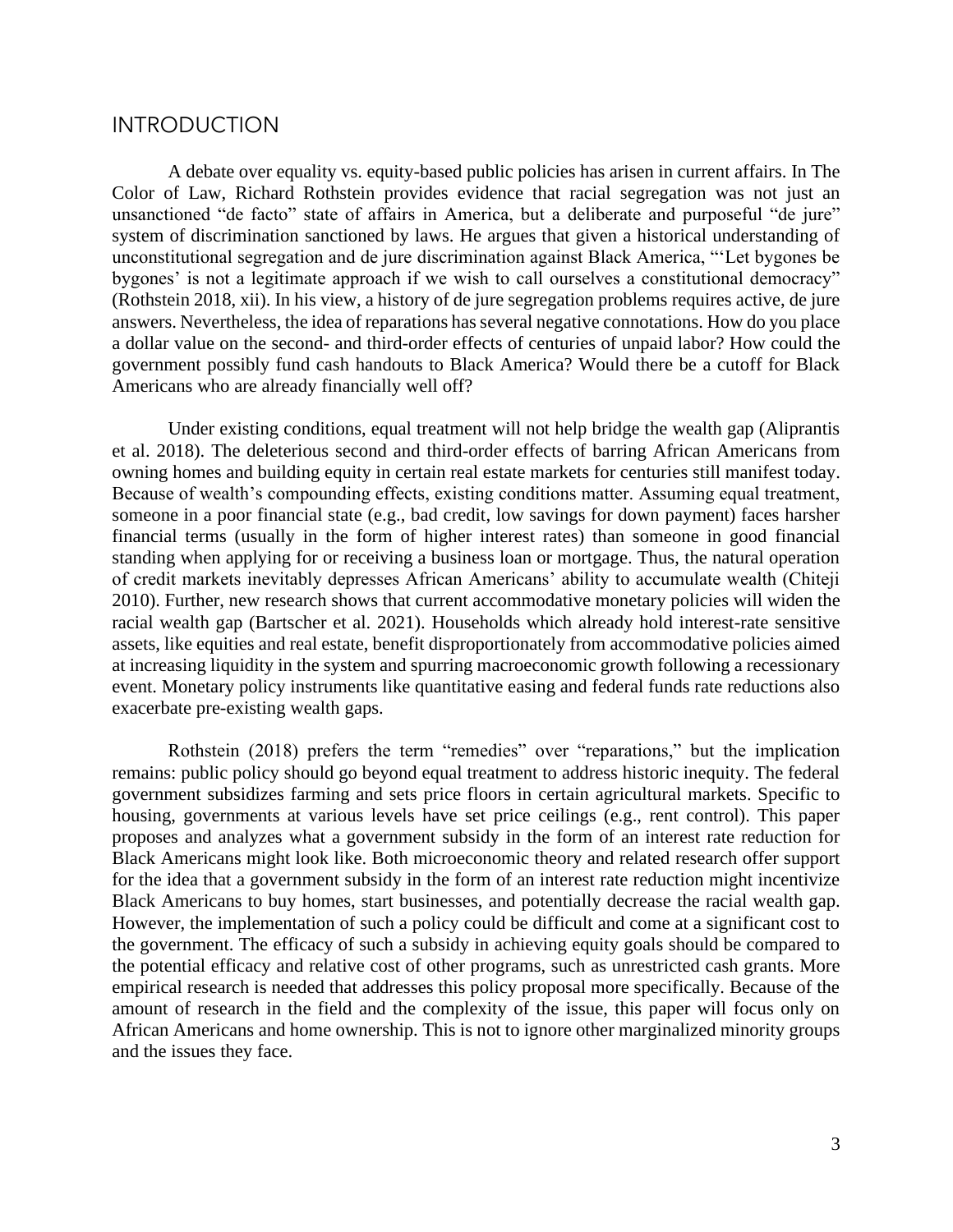## **INTRODUCTION**

 Color of Law, Richard Rothstein provides evidence that racial segregation was not just an unsanctioned "de facto" state of affairs in America, but a deliberate and purposeful "de jure" system of discrimination sanctioned by laws. He argues that given a historical understanding of unconstitutional segregation and de jure discrimination against Black America, "'Let bygones be bygones' is not a legitimate approach if we wish to call ourselves a constitutional democracy" (Rothstein 2018, xii). In his view, a history of de jure segregation problems requires active, de jure answers. Nevertheless, the idea of reparations has several negative connotations. How do you place a dollar value on the second- and third-order effects of centuries of unpaid labor? How could the government possibly fund cash handouts to Black America? Would there be a cutoff for Black A debate over equality vs. equity-based public policies has arisen in current affairs. In The Americans who are already financially well off?

 Because of wealth's compounding effects, existing conditions matter. Assuming equal treatment, someone in a poor financial state (e.g., bad credit, low savings for down payment) faces harsher of credit markets inevitably depresses African Americans' ability to accumulate wealth (Chiteji Under existing conditions, equal treatment will not help bridge the wealth gap (Aliprantis et al. 2018). The deleterious second and third-order effects of barring African Americans from owning homes and building equity in certain real estate markets for centuries still manifest today. financial terms (usually in the form of higher interest rates) than someone in good financial standing when applying for or receiving a business loan or mortgage. Thus, the natural operation 2010). Further, new research shows that current accommodative monetary policies will widen the racial wealth gap (Bartscher et al. 2021). Households which already hold interest-rate sensitive assets, like equities and real estate, benefit disproportionately from accommodative policies aimed at increasing liquidity in the system and spurring macroeconomic growth following a recessionary event. Monetary policy instruments like quantitative easing and federal funds rate reductions also exacerbate pre-existing wealth gaps.

 remains: public policy should go beyond equal treatment to address historic inequity. The federal government subsidizes farming and sets price floors in certain agricultural markets. Specific to housing, governments at various levels have set price ceilings (e.g., rent control). This paper for the idea that a government subsidy in the form of an interest rate reduction might incentivize However, the implementation of such a policy could be difficult and come at a significant cost to the government. The efficacy of such a subsidy in achieving equity goals should be compared to the potential efficacy and relative cost of other programs, such as unrestricted cash grants. More empirical research is needed that addresses this policy proposal more specifically. Because of the amount of research in the field and the complexity of the issue, this paper will focus only on Rothstein (2018) prefers the term "remedies" over "reparations," but the implication proposes and analyzes what a government subsidy in the form of an interest rate reduction for Black Americans might look like. Both microeconomic theory and related research offer support Black Americans to buy homes, start businesses, and potentially decrease the racial wealth gap. African Americans and home ownership. This is not to ignore other marginalized minority groups and the issues they face.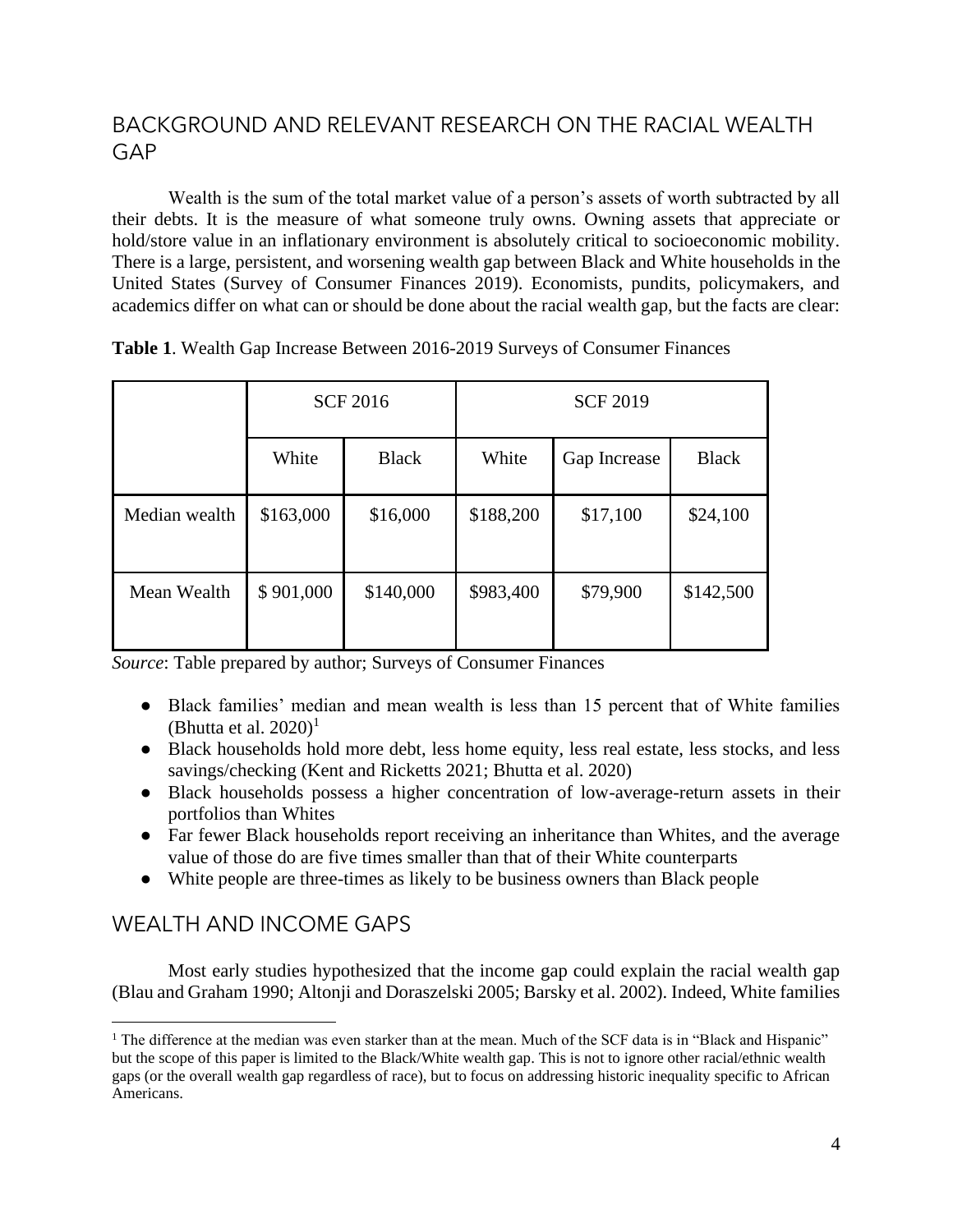# BACKGROUND AND RELEVANT RESEARCH ON THE RACIAL WEALTH GAP

 their debts. It is the measure of what someone truly owns. Owning assets that appreciate or There is a large, persistent, and worsening wealth gap between Black and White households in the academics differ on what can or should be done about the racial wealth gap, but the facts are clear: Wealth is the sum of the total market value of a person's assets of worth subtracted by all hold/store value in an inflationary environment is absolutely critical to socioeconomic mobility. United States (Survey of Consumer Finances 2019). Economists, pundits, policymakers, and

|               |           | <b>SCF 2016</b> | <b>SCF 2019</b> |              |              |  |  |
|---------------|-----------|-----------------|-----------------|--------------|--------------|--|--|
|               | White     | <b>Black</b>    | White           | Gap Increase | <b>Black</b> |  |  |
| Median wealth | \$163,000 | \$16,000        | \$188,200       | \$17,100     | \$24,100     |  |  |
| Mean Wealth   | \$901,000 | \$140,000       | \$983,400       | \$79,900     | \$142,500    |  |  |

**Table 1**. Wealth Gap Increase Between 2016-2019 Surveys of Consumer Finances

*Source*: Table prepared by author; Surveys of Consumer Finances

- Black families' median and mean wealth is less than 15 percent that of White families (Bhutta et al.  $2020$ )<sup>1</sup>
- ● Black households hold more debt, less home equity, less real estate, less stocks, and less savings/checking (Kent and Ricketts 2021; Bhutta et al. 2020)
- ● Black households possess a higher concentration of low-average-return assets in their portfolios than Whites
- Far fewer Black households report receiving an inheritance than Whites, and the average value of those do are five times smaller than that of their White counterparts
- White people are three-times as likely to be business owners than Black people

# WEALTH AND INCOME GAPS

 Most early studies hypothesized that the income gap could explain the racial wealth gap (Blau and Graham 1990; Altonji and Doraszelski 2005; Barsky et al. 2002). Indeed, White families

 $1$  The difference at the median was even starker than at the mean. Much of the SCF data is in "Black and Hispanic" but the scope of this paper is limited to the Black/White wealth gap. This is not to ignore other racial/ethnic wealth gaps (or the overall wealth gap regardless of race), but to focus on addressing historic inequality specific to African Americans.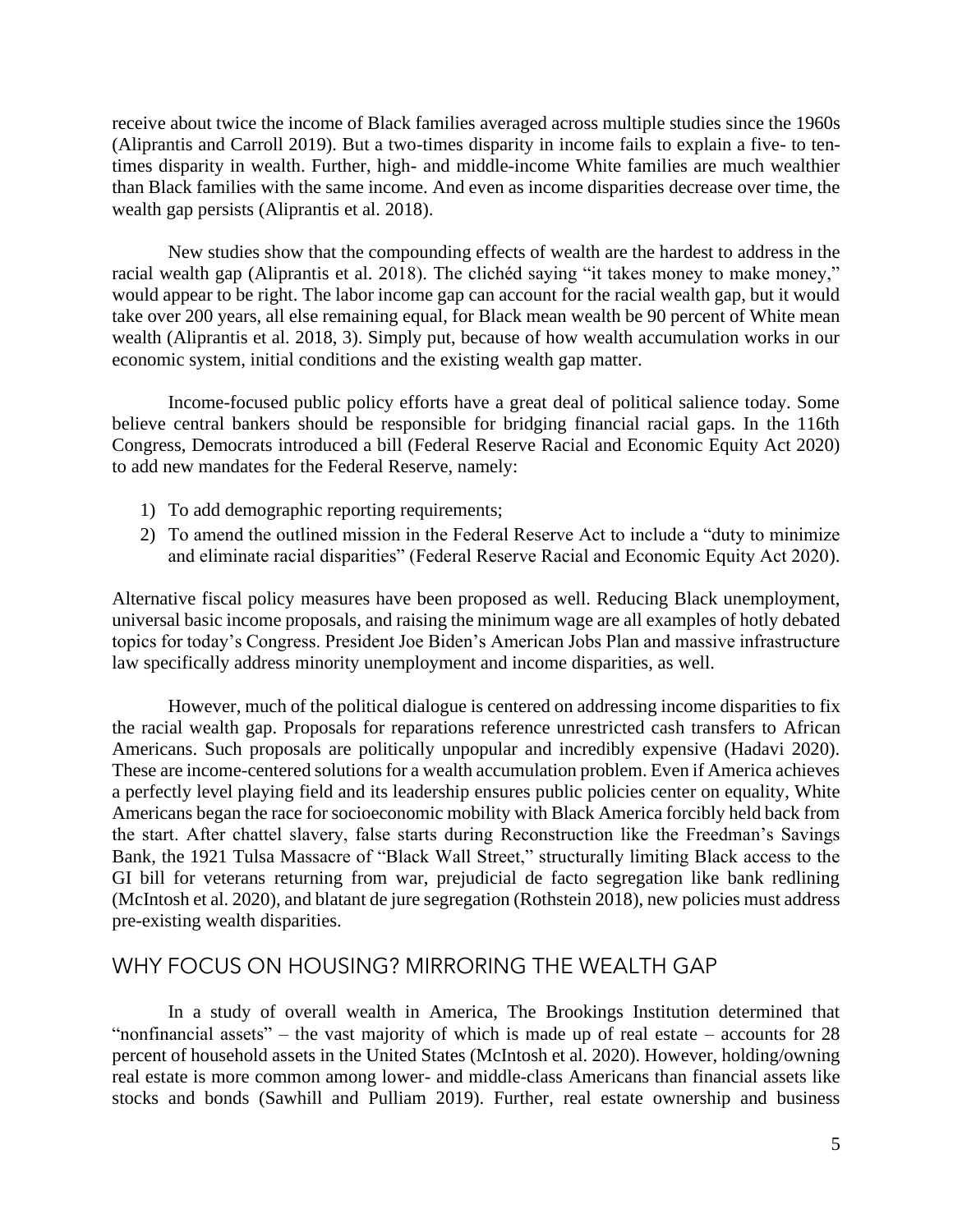receive about twice the income of Black families averaged across multiple studies since the 1960s (Aliprantis and Carroll 2019). But a two-times disparity in income fails to explain a five- to ten- times disparity in wealth. Further, high- and middle-income White families are much wealthier than Black families with the same income. And even as income disparities decrease over time, the wealth gap persists (Aliprantis et al. 2018).

 racial wealth gap (Aliprantis et al. 2018). The clichéd saying "it takes money to make money," would appear to be right. The labor income gap can account for the racial wealth gap, but it would take over 200 years, all else remaining equal, for Black mean wealth be 90 percent of White mean New studies show that the compounding effects of wealth are the hardest to address in the wealth (Aliprantis et al. 2018, 3). Simply put, because of how wealth accumulation works in our economic system, initial conditions and the existing wealth gap matter.

 Income-focused public policy efforts have a great deal of political salience today. Some believe central bankers should be responsible for bridging financial racial gaps. In the 116th Congress, Democrats introduced a bill (Federal Reserve Racial and Economic Equity Act 2020) to add new mandates for the Federal Reserve, namely:

- 1) To add demographic reporting requirements;
- 2) To amend the outlined mission in the Federal Reserve Act to include a "duty to minimize and eliminate racial disparities" (Federal Reserve Racial and Economic Equity Act 2020).

 Alternative fiscal policy measures have been proposed as well. Reducing Black unemployment, universal basic income proposals, and raising the minimum wage are all examples of hotly debated topics for today's Congress. President Joe Biden's American Jobs Plan and massive infrastructure law specifically address minority unemployment and income disparities, as well.

 These are income-centered solutions for a wealth accumulation problem. Even if America achieves Americans began the race for socioeconomic mobility with Black America forcibly held back from the start. After chattel slavery, false starts during Reconstruction like the Freedman's Savings GI bill for veterans returning from war, prejudicial de facto segregation like bank redlining (McIntosh et al. 2020), and blatant de jure segregation (Rothstein 2018), new policies must address However, much of the political dialogue is centered on addressing income disparities to fix the racial wealth gap. Proposals for reparations reference unrestricted cash transfers to African Americans. Such proposals are politically unpopular and incredibly expensive (Hadavi 2020). a perfectly level playing field and its leadership ensures public policies center on equality, White Bank, the 1921 Tulsa Massacre of "Black Wall Street," structurally limiting Black access to the pre-existing wealth disparities.

#### WHY FOCUS ON HOUSING? MIRRORING THE WEALTH GAP

 In a study of overall wealth in America, The Brookings Institution determined that "nonfinancial assets" – the vast majority of which is made up of real estate – accounts for  $28$  stocks and bonds (Sawhill and Pulliam 2019). Further, real estate ownership and business percent of household assets in the United States (McIntosh et al. 2020). However, holding/owning real estate is more common among lower- and middle-class Americans than financial assets like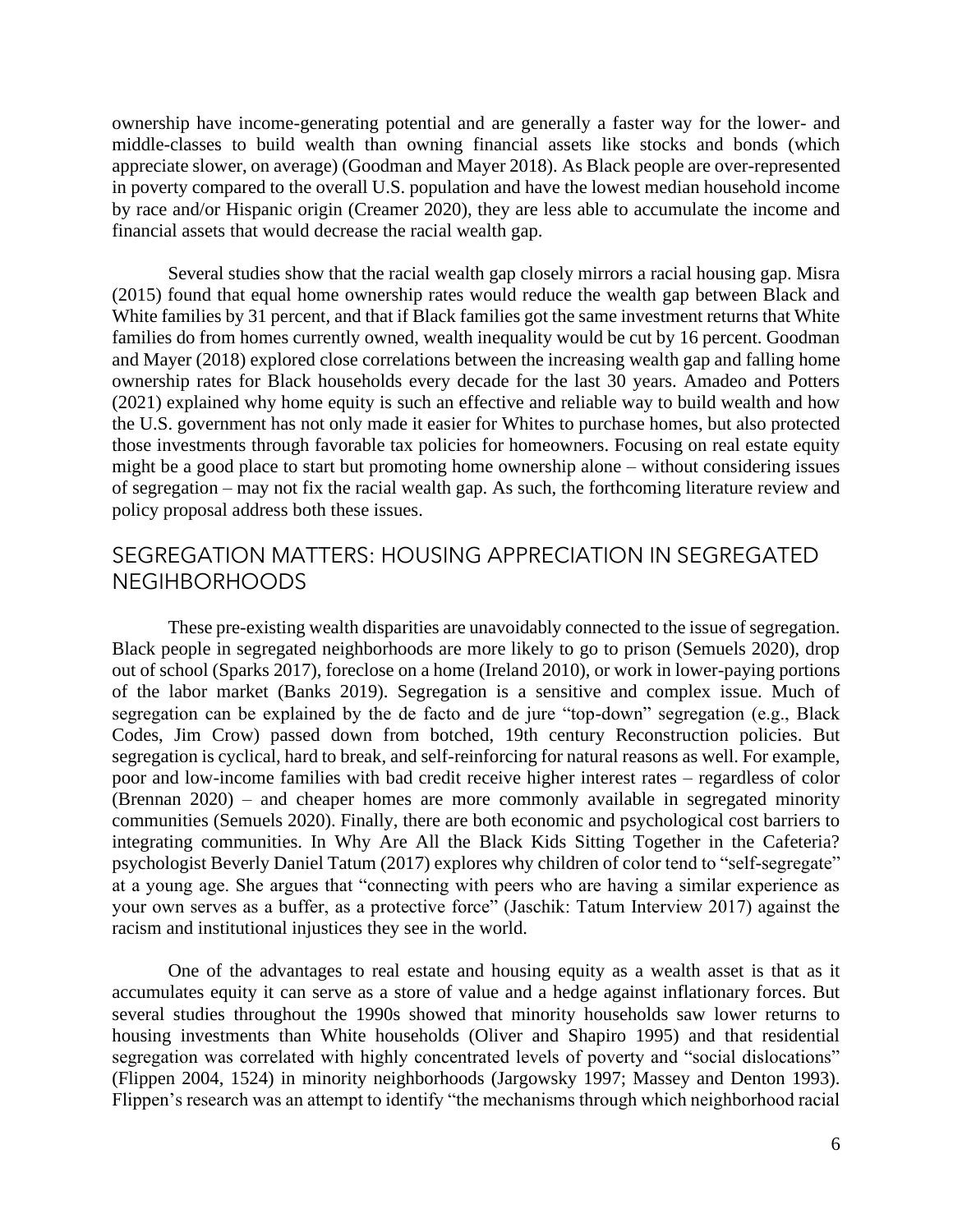ownership have income-generating potential and are generally a faster way for the lower- and appreciate slower, on average) (Goodman and Mayer 2018). As Black people are over-represented in poverty compared to the overall U.S. population and have the lowest median household income by race and/or Hispanic origin (Creamer 2020), they are less able to accumulate the income and middle-classes to build wealth than owning financial assets like stocks and bonds (which financial assets that would decrease the racial wealth gap.

 Several studies show that the racial wealth gap closely mirrors a racial housing gap. Misra ownership rates for Black households every decade for the last 30 years. Amadeo and Potters might be a good place to start but promoting home ownership alone – without considering issues (2015) found that equal home ownership rates would reduce the wealth gap between Black and White families by 31 percent, and that if Black families got the same investment returns that White families do from homes currently owned, wealth inequality would be cut by 16 percent. Goodman and Mayer (2018) explored close correlations between the increasing wealth gap and falling home (2021) explained why home equity is such an effective and reliable way to build wealth and how the U.S. government has not only made it easier for Whites to purchase homes, but also protected those investments through favorable tax policies for homeowners. Focusing on real estate equity of segregation – may not fix the racial wealth gap. As such, the forthcoming literature review and policy proposal address both these issues.

## SEGREGATION MATTERS: HOUSING APPRECIATION IN SEGREGATED NEGIHBORHOODS

 Black people in segregated neighborhoods are more likely to go to prison (Semuels 2020), drop segregation can be explained by the de facto and de jure "top-down" segregation (e.g., Black poor and low-income families with bad credit receive higher interest rates – regardless of color (Brennan 2020) – and cheaper homes are more commonly available in segregated minority communities (Semuels 2020). Finally, there are both economic and psychological cost barriers to integrating communities. In Why Are All the Black Kids Sitting Together in the Cafeteria? at a young age. She argues that "connecting with peers who are having a similar experience as your own serves as a buffer, as a protective force" (Jaschik: Tatum Interview 2017) against the These pre-existing wealth disparities are unavoidably connected to the issue of segregation. out of school (Sparks 2017), foreclose on a home (Ireland 2010), or work in lower-paying portions of the labor market (Banks 2019). Segregation is a sensitive and complex issue. Much of Codes, Jim Crow) passed down from botched, 19th century Reconstruction policies. But segregation is cyclical, hard to break, and self-reinforcing for natural reasons as well. For example, psychologist Beverly Daniel Tatum (2017) explores why children of color tend to "self-segregate" racism and institutional injustices they see in the world.

 accumulates equity it can serve as a store of value and a hedge against inflationary forces. But housing investments than White households (Oliver and Shapiro 1995) and that residential Flippen's research was an attempt to identify "the mechanisms through which neighborhood racial One of the advantages to real estate and housing equity as a wealth asset is that as it several studies throughout the 1990s showed that minority households saw lower returns to segregation was correlated with highly concentrated levels of poverty and "social dislocations" (Flippen 2004, 1524) in minority neighborhoods (Jargowsky 1997; Massey and Denton 1993).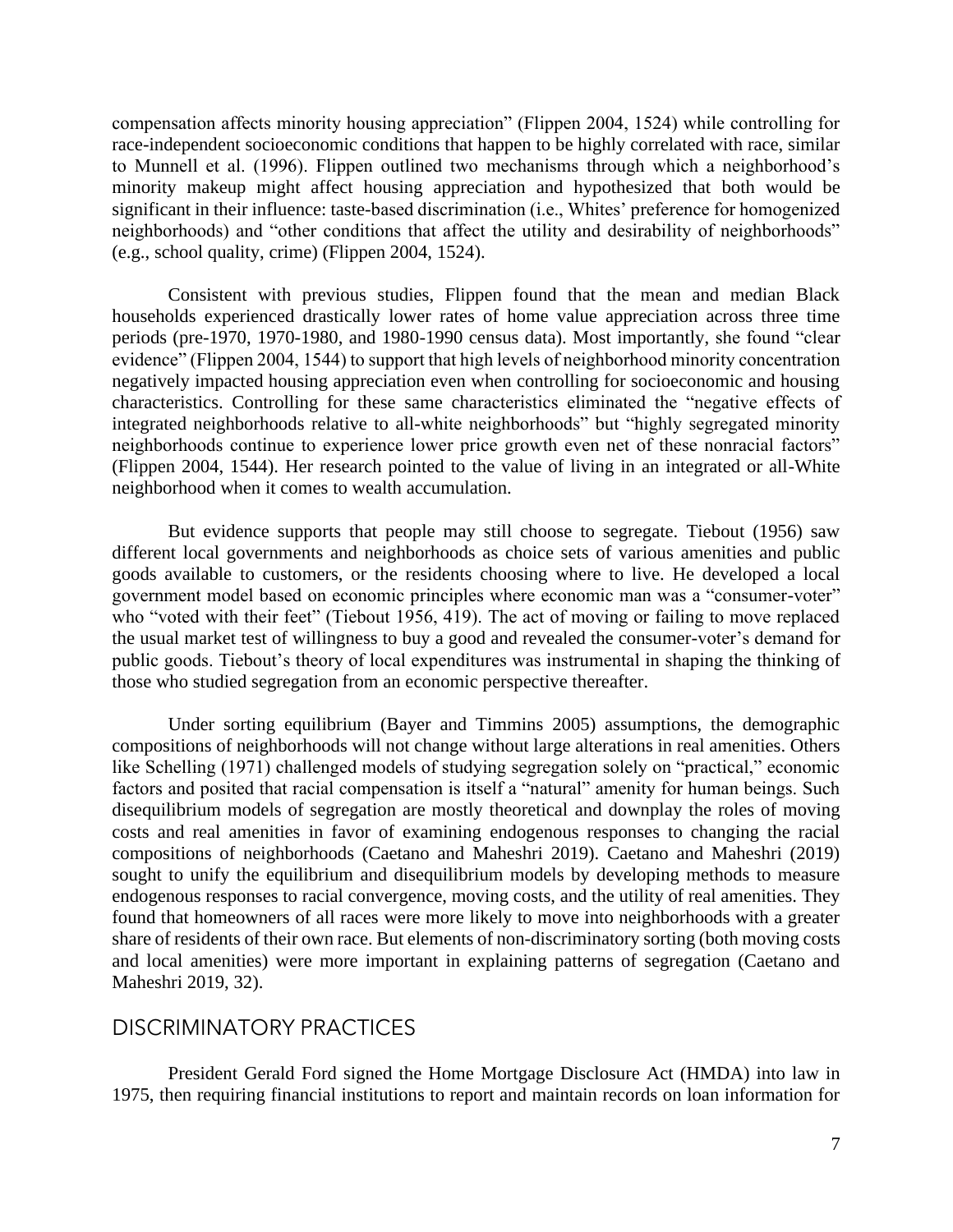minority makeup might affect housing appreciation and hypothesized that both would be significant in their influence: taste-based discrimination (i.e., Whites' preference for homogenized compensation affects minority housing appreciation" (Flippen 2004, 1524) while controlling for race-independent socioeconomic conditions that happen to be highly correlated with race, similar to Munnell et al. (1996). Flippen outlined two mechanisms through which a neighborhood's neighborhoods) and "other conditions that affect the utility and desirability of neighborhoods" (e.g., school quality, crime) (Flippen 2004, 1524).

 periods (pre-1970, 1970-1980, and 1980-1990 census data). Most importantly, she found "clear negatively impacted housing appreciation even when controlling for socioeconomic and housing characteristics. Controlling for these same characteristics eliminated the "negative effects of neighborhoods continue to experience lower price growth even net of these nonracial factors" Consistent with previous studies, Flippen found that the mean and median Black households experienced drastically lower rates of home value appreciation across three time evidence" (Flippen 2004, 1544) to support that high levels of neighborhood minority concentration integrated neighborhoods relative to all-white neighborhoods" but "highly segregated minority (Flippen 2004, 1544). Her research pointed to the value of living in an integrated or all-White neighborhood when it comes to wealth accumulation.

 But evidence supports that people may still choose to segregate. Tiebout (1956) saw goods available to customers, or the residents choosing where to live. He developed a local government model based on economic principles where economic man was a "consumer-voter" who "voted with their feet" (Tiebout 1956, 419). The act of moving or failing to move replaced different local governments and neighborhoods as choice sets of various amenities and public the usual market test of willingness to buy a good and revealed the consumer-voter's demand for public goods. Tiebout's theory of local expenditures was instrumental in shaping the thinking of those who studied segregation from an economic perspective thereafter.

 costs and real amenities in favor of examining endogenous responses to changing the racial found that homeowners of all races were more likely to move into neighborhoods with a greater and local amenities) were more important in explaining patterns of segregation (Caetano and Under sorting equilibrium (Bayer and Timmins 2005) assumptions, the demographic compositions of neighborhoods will not change without large alterations in real amenities. Others like Schelling (1971) challenged models of studying segregation solely on "practical," economic factors and posited that racial compensation is itself a "natural" amenity for human beings. Such disequilibrium models of segregation are mostly theoretical and downplay the roles of moving compositions of neighborhoods (Caetano and Maheshri 2019). Caetano and Maheshri (2019) sought to unify the equilibrium and disequilibrium models by developing methods to measure endogenous responses to racial convergence, moving costs, and the utility of real amenities. They share of residents of their own race. But elements of non-discriminatory sorting (both moving costs Maheshri 2019, 32).

## DISCRIMINATORY PRACTICES

 President Gerald Ford signed the Home Mortgage Disclosure Act (HMDA) into law in 1975, then requiring financial institutions to report and maintain records on loan information for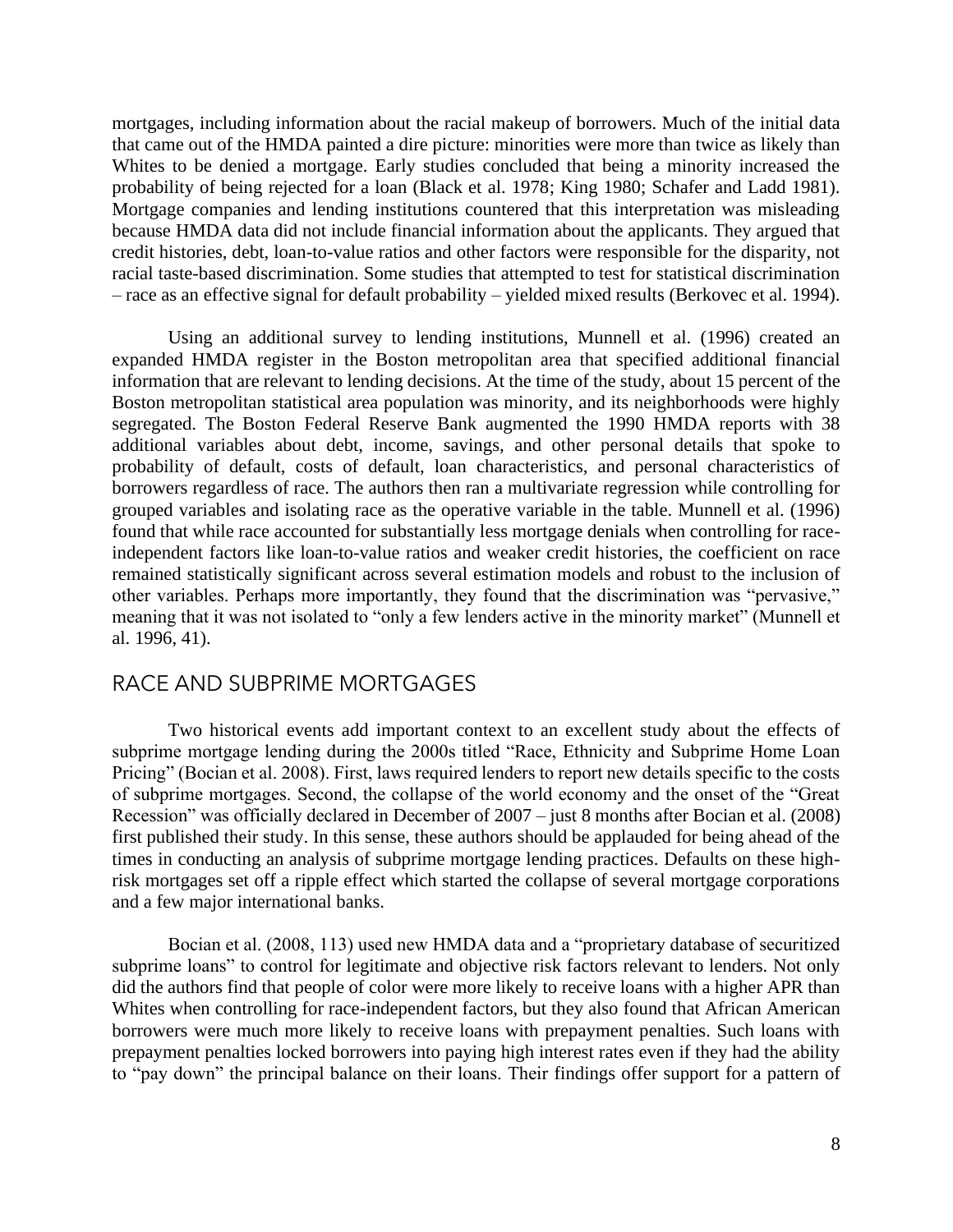Whites to be denied a mortgage. Early studies concluded that being a minority increased the because HMDA data did not include financial information about the applicants. They argued that credit histories, debt, loan-to-value ratios and other factors were responsible for the disparity, not – race as an effective signal for default probability – yielded mixed results (Berkovec et al. 1994). mortgages, including information about the racial makeup of borrowers. Much of the initial data that came out of the HMDA painted a dire picture: minorities were more than twice as likely than probability of being rejected for a loan (Black et al. 1978; King 1980; Schafer and Ladd 1981). Mortgage companies and lending institutions countered that this interpretation was misleading racial taste-based discrimination. Some studies that attempted to test for statistical discrimination

 segregated. The Boston Federal Reserve Bank augmented the 1990 HMDA reports with 38 borrowers regardless of race. The authors then ran a multivariate regression while controlling for found that while race accounted for substantially less mortgage denials when controlling for race-Using an additional survey to lending institutions, Munnell et al. (1996) created an expanded HMDA register in the Boston metropolitan area that specified additional financial information that are relevant to lending decisions. At the time of the study, about 15 percent of the Boston metropolitan statistical area population was minority, and its neighborhoods were highly additional variables about debt, income, savings, and other personal details that spoke to probability of default, costs of default, loan characteristics, and personal characteristics of grouped variables and isolating race as the operative variable in the table. Munnell et al. (1996) independent factors like loan-to-value ratios and weaker credit histories, the coefficient on race remained statistically significant across several estimation models and robust to the inclusion of other variables. Perhaps more importantly, they found that the discrimination was "pervasive," meaning that it was not isolated to "only a few lenders active in the minority market" (Munnell et al. 1996, 41).

## RACE AND SUBPRIME MORTGAGES

 Two historical events add important context to an excellent study about the effects of subprime mortgage lending during the 2000s titled "Race, Ethnicity and Subprime Home Loan Pricing" (Bocian et al. 2008). First, laws required lenders to report new details specific to the costs of subprime mortgages. Second, the collapse of the world economy and the onset of the "Great Recession" was officially declared in December of 2007 – just 8 months after Bocian et al. (2008) risk mortgages set off a ripple effect which started the collapse of several mortgage corporations first published their study. In this sense, these authors should be applauded for being ahead of the times in conducting an analysis of subprime mortgage lending practices. Defaults on these highand a few major international banks.

 did the authors find that people of color were more likely to receive loans with a higher APR than borrowers were much more likely to receive loans with prepayment penalties. Such loans with to "pay down" the principal balance on their loans. Their findings offer support for a pattern of Bocian et al. (2008, 113) used new HMDA data and a "proprietary database of securitized subprime loans" to control for legitimate and objective risk factors relevant to lenders. Not only Whites when controlling for race-independent factors, but they also found that African American prepayment penalties locked borrowers into paying high interest rates even if they had the ability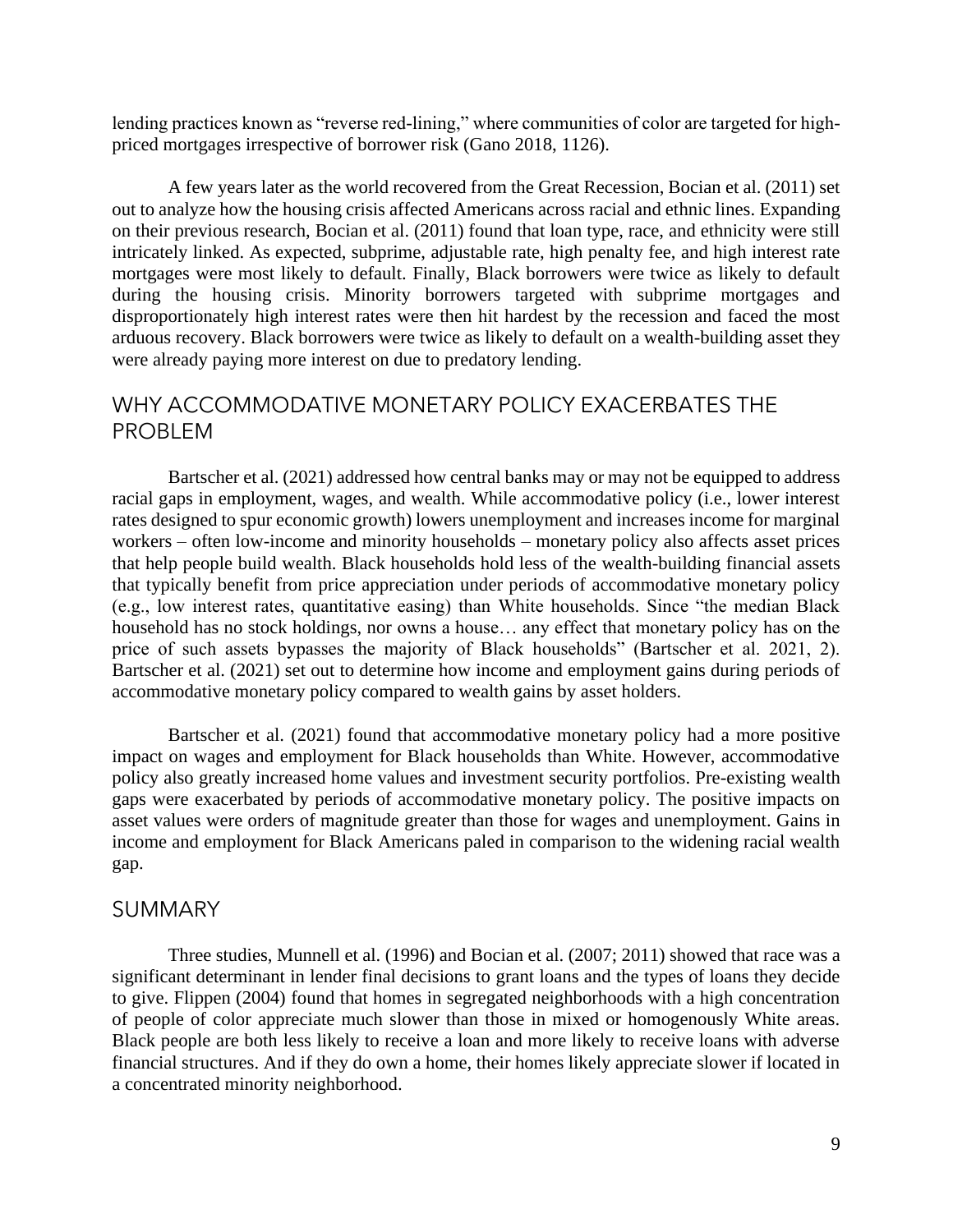lending practices known as "reverse red-lining," where communities of color are targeted for highpriced mortgages irrespective of borrower risk (Gano 2018, 1126).

 on their previous research, Bocian et al. (2011) found that loan type, race, and ethnicity were still mortgages were most likely to default. Finally, Black borrowers were twice as likely to default disproportionately high interest rates were then hit hardest by the recession and faced the most A few years later as the world recovered from the Great Recession, Bocian et al. (2011) set out to analyze how the housing crisis affected Americans across racial and ethnic lines. Expanding intricately linked. As expected, subprime, adjustable rate, high penalty fee, and high interest rate during the housing crisis. Minority borrowers targeted with subprime mortgages and arduous recovery. Black borrowers were twice as likely to default on a wealth-building asset they were already paying more interest on due to predatory lending.

# WHY ACCOMMODATIVE MONETARY POLICY EXACERBATES THE PROBLEM

 rates designed to spur economic growth) lowers unemployment and increases income for marginal that typically benefit from price appreciation under periods of accommodative monetary policy (e.g., low interest rates, quantitative easing) than White households. Since "the median Black Bartscher et al. (2021) set out to determine how income and employment gains during periods of Bartscher et al. (2021) addressed how central banks may or may not be equipped to address racial gaps in employment, wages, and wealth. While accommodative policy (i.e., lower interest workers – often low-income and minority households – monetary policy also affects asset prices that help people build wealth. Black households hold less of the wealth-building financial assets household has no stock holdings, nor owns a house… any effect that monetary policy has on the price of such assets bypasses the majority of Black households" (Bartscher et al. 2021, 2). accommodative monetary policy compared to wealth gains by asset holders.

 Bartscher et al. (2021) found that accommodative monetary policy had a more positive gaps were exacerbated by periods of accommodative monetary policy. The positive impacts on income and employment for Black Americans paled in comparison to the widening racial wealth impact on wages and employment for Black households than White. However, accommodative policy also greatly increased home values and investment security portfolios. Pre-existing wealth asset values were orders of magnitude greater than those for wages and unemployment. Gains in gap.

#### SUMMARY

 Three studies, Munnell et al. (1996) and Bocian et al. (2007; 2011) showed that race was a Black people are both less likely to receive a loan and more likely to receive loans with adverse financial structures. And if they do own a home, their homes likely appreciate slower if located in significant determinant in lender final decisions to grant loans and the types of loans they decide to give. Flippen (2004) found that homes in segregated neighborhoods with a high concentration of people of color appreciate much slower than those in mixed or homogenously White areas. a concentrated minority neighborhood.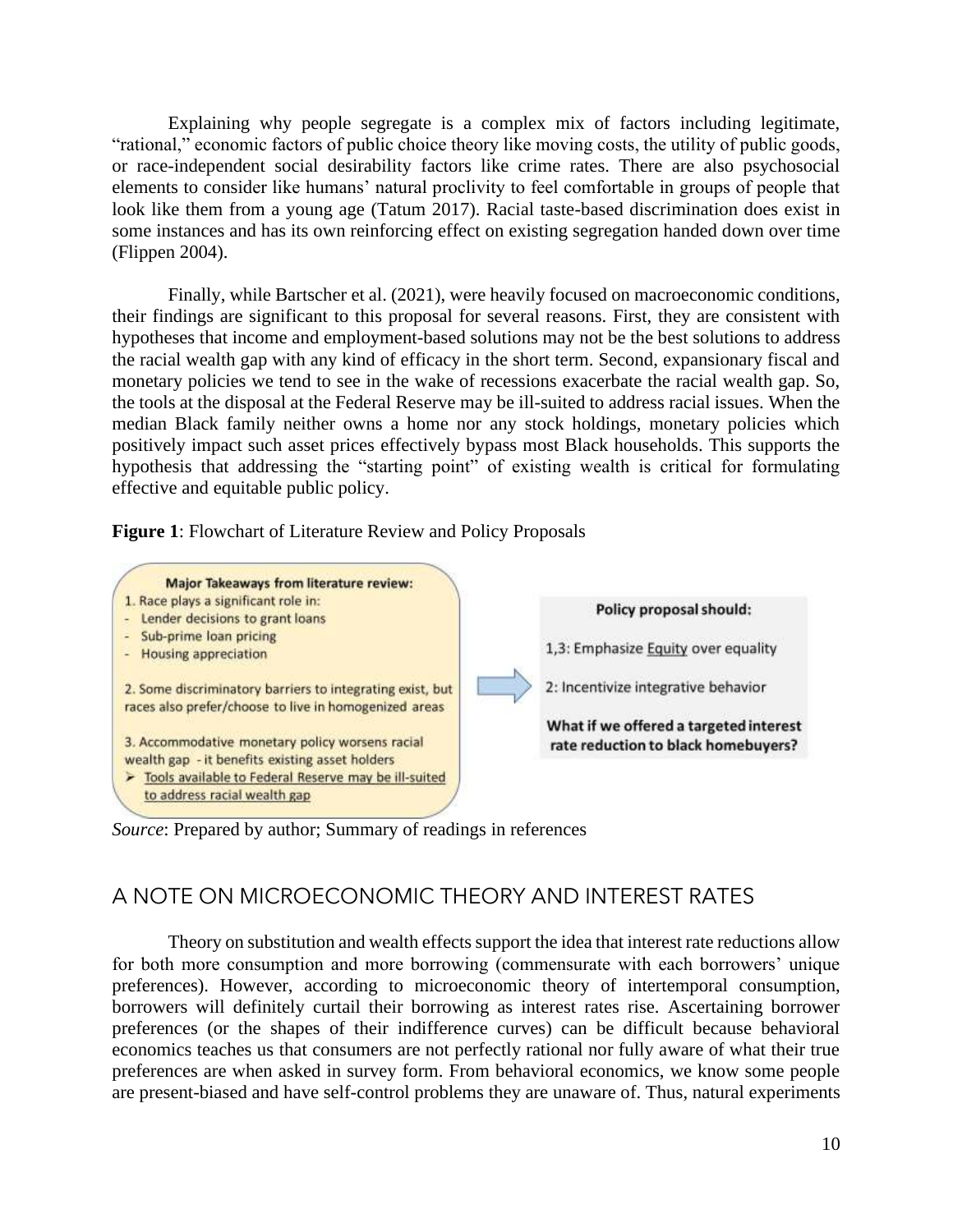"rational," economic factors of public choice theory like moving costs, the utility of public goods, or race-independent social desirability factors like crime rates. There are also psychosocial elements to consider like humans' natural proclivity to feel comfortable in groups of people that look like them from a young age (Tatum 2017). Racial taste-based discrimination does exist in Explaining why people segregate is a complex mix of factors including legitimate, some instances and has its own reinforcing effect on existing segregation handed down over time (Flippen 2004).

 Finally, while Bartscher et al. (2021), were heavily focused on macroeconomic conditions, their findings are significant to this proposal for several reasons. First, they are consistent with monetary policies we tend to see in the wake of recessions exacerbate the racial wealth gap. So, the tools at the disposal at the Federal Reserve may be ill-suited to address racial issues. When the median Black family neither owns a home nor any stock holdings, monetary policies which hypotheses that income and employment-based solutions may not be the best solutions to address the racial wealth gap with any kind of efficacy in the short term. Second, expansionary fiscal and positively impact such asset prices effectively bypass most Black households. This supports the hypothesis that addressing the "starting point" of existing wealth is critical for formulating effective and equitable public policy.

**Figure 1**: Flowchart of Literature Review and Policy Proposals



*Source*: Prepared by author; Summary of readings in references

# A NOTE ON MICROECONOMIC THEORY AND INTEREST RATES

 for both more consumption and more borrowing (commensurate with each borrowers' unique borrowers will definitely curtail their borrowing as interest rates rise. Ascertaining borrower preferences (or the shapes of their indifference curves) can be difficult because behavioral economics teaches us that consumers are not perfectly rational nor fully aware of what their true preferences are when asked in survey form. From behavioral economics, we know some people Theory on substitution and wealth effects support the idea that interest rate reductions allow preferences). However, according to microeconomic theory of intertemporal consumption, are present-biased and have self-control problems they are unaware of. Thus, natural experiments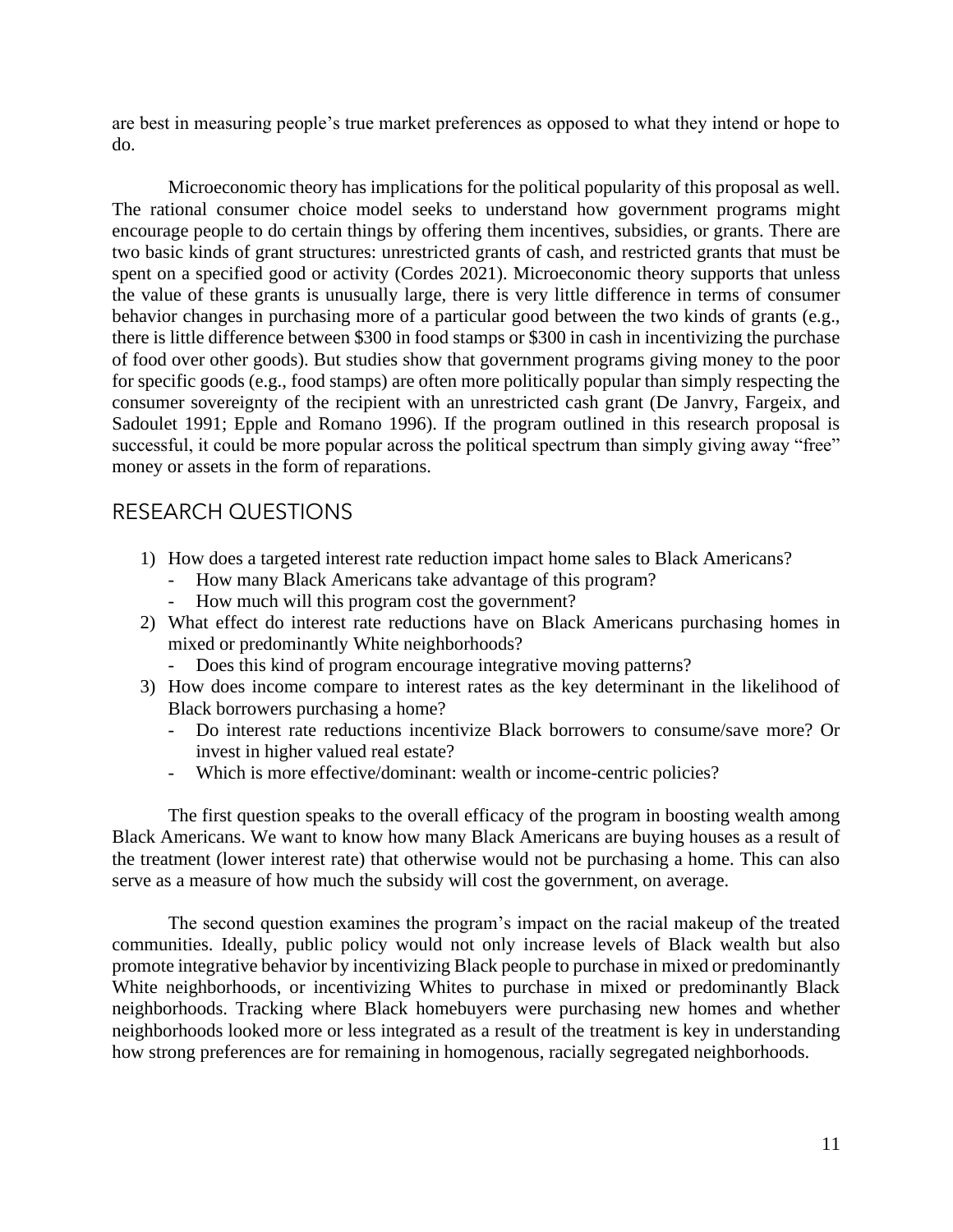are best in measuring people's true market preferences as opposed to what they intend or hope to do.

 encourage people to do certain things by offering them incentives, subsidies, or grants. There are two basic kinds of grant structures: unrestricted grants of cash, and restricted grants that must be the value of these grants is unusually large, there is very little difference in terms of consumer behavior changes in purchasing more of a particular good between the two kinds of grants (e.g., for specific goods (e.g., food stamps) are often more politically popular than simply respecting the consumer sovereignty of the recipient with an unrestricted cash grant (De Janvry, Fargeix, and successful, it could be more popular across the political spectrum than simply giving away "free" Microeconomic theory has implications for the political popularity of this proposal as well. The rational consumer choice model seeks to understand how government programs might spent on a specified good or activity (Cordes 2021). Microeconomic theory supports that unless there is little difference between \$300 in food stamps or \$300 in cash in incentivizing the purchase of food over other goods). But studies show that government programs giving money to the poor Sadoulet 1991; Epple and Romano 1996). If the program outlined in this research proposal is money or assets in the form of reparations.

## RESEARCH QUESTIONS

- 1) How does a targeted interest rate reduction impact home sales to Black Americans?
	- How many Black Americans take advantage of this program?<br>- How much will this program cost the government?
	- How much will this program cost the government?
- 2) What effect do interest rate reductions have on Black Americans purchasing homes in mixed or predominantly White neighborhoods?
	- Does this kind of program encourage integrative moving patterns?
- 3) How does income compare to interest rates as the key determinant in the likelihood of Black borrowers purchasing a home?
	- - Do interest rate reductions incentivize Black borrowers to consume/save more? Or invest in higher valued real estate?
	- Which is more effective/dominant: wealth or income-centric policies?

 Black Americans. We want to know how many Black Americans are buying houses as a result of the treatment (lower interest rate) that otherwise would not be purchasing a home. This can also The first question speaks to the overall efficacy of the program in boosting wealth among serve as a measure of how much the subsidy will cost the government, on average.

 The second question examines the program's impact on the racial makeup of the treated White neighborhoods, or incentivizing Whites to purchase in mixed or predominantly Black neighborhoods. Tracking where Black homebuyers were purchasing new homes and whether neighborhoods looked more or less integrated as a result of the treatment is key in understanding communities. Ideally, public policy would not only increase levels of Black wealth but also promote integrative behavior by incentivizing Black people to purchase in mixed or predominantly how strong preferences are for remaining in homogenous, racially segregated neighborhoods.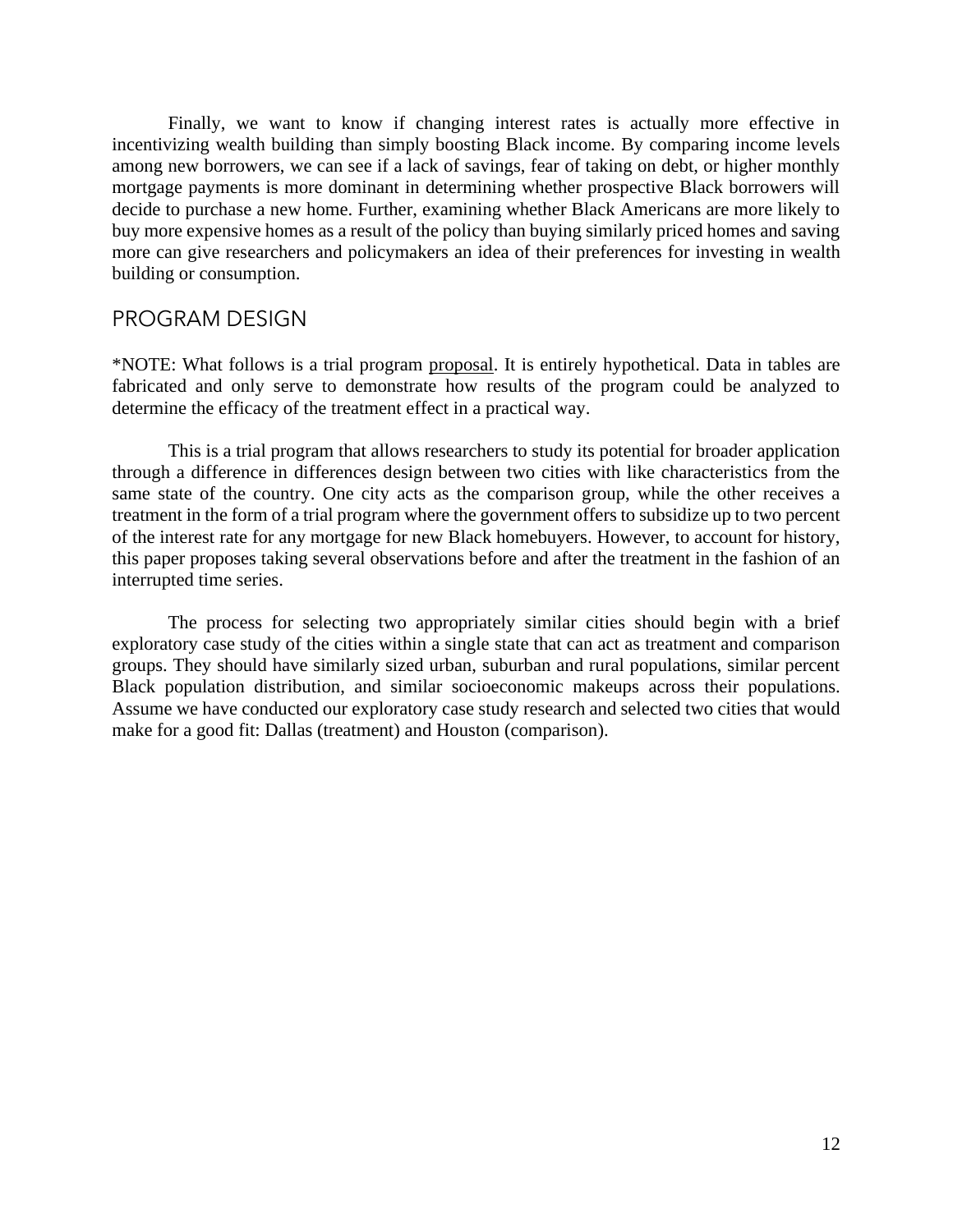Finally, we want to know if changing interest rates is actually more effective in among new borrowers, we can see if a lack of savings, fear of taking on debt, or higher monthly mortgage payments is more dominant in determining whether prospective Black borrowers will decide to purchase a new home. Further, examining whether Black Americans are more likely to buy more expensive homes as a result of the policy than buying similarly priced homes and saving more can give researchers and policymakers an idea of their preferences for investing in wealth incentivizing wealth building than simply boosting Black income. By comparing income levels building or consumption.

## PROGRAM DESIGN

 \*NOTE: What follows is a trial program proposal. It is entirely hypothetical. Data in tables are fabricated and only serve to demonstrate how results of the program could be analyzed to determine the efficacy of the treatment effect in a practical way.

 through a difference in differences design between two cities with like characteristics from the same state of the country. One city acts as the comparison group, while the other receives a this paper proposes taking several observations before and after the treatment in the fashion of an This is a trial program that allows researchers to study its potential for broader application treatment in the form of a trial program where the government offers to subsidize up to two percent of the interest rate for any mortgage for new Black homebuyers. However, to account for history, interrupted time series.

 The process for selecting two appropriately similar cities should begin with a brief exploratory case study of the cities within a single state that can act as treatment and comparison groups. They should have similarly sized urban, suburban and rural populations, similar percent Assume we have conducted our exploratory case study research and selected two cities that would Black population distribution, and similar socioeconomic makeups across their populations. make for a good fit: Dallas (treatment) and Houston (comparison).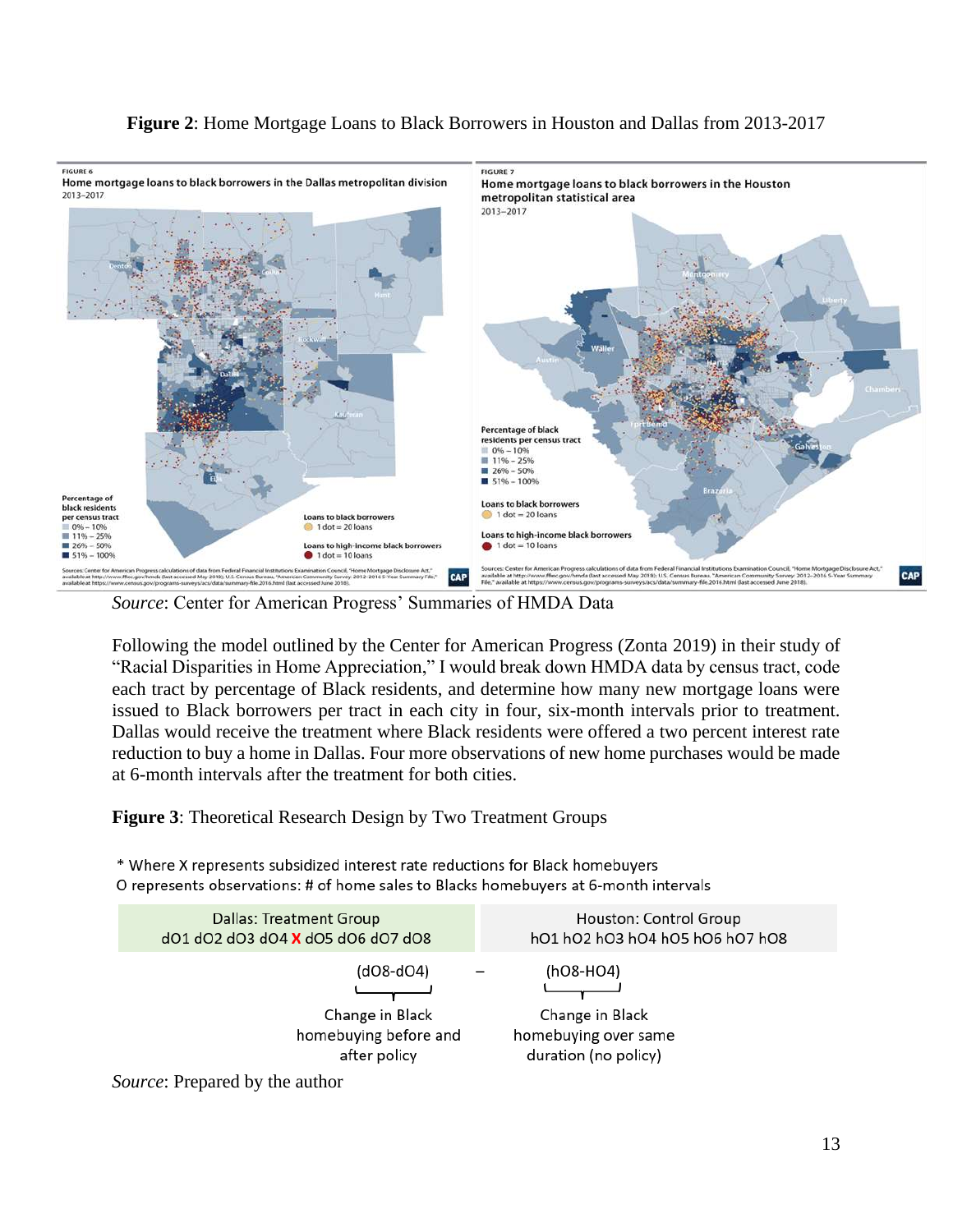

## **Figure 2**: Home Mortgage Loans to Black Borrowers in Houston and Dallas from 2013-2017

*Source*: Center for American Progress' Summaries of HMDA Data

 Following the model outlined by the Center for American Progress (Zonta 2019) in their study of each tract by percentage of Black residents, and determine how many new mortgage loans were Dallas would receive the treatment where Black residents were offered a two percent interest rate reduction to buy a home in Dallas. Four more observations of new home purchases would be made "Racial Disparities in Home Appreciation," I would break down HMDA data by census tract, code issued to Black borrowers per tract in each city in four, six-month intervals prior to treatment. at 6-month intervals after the treatment for both cities.

**Figure 3**: Theoretical Research Design by Two Treatment Groups

\* Where X represents subsidized interest rate reductions for Black homebuyers O represents observations: # of home sales to Blacks homebuyers at 6-month intervals



*Source*: Prepared by the author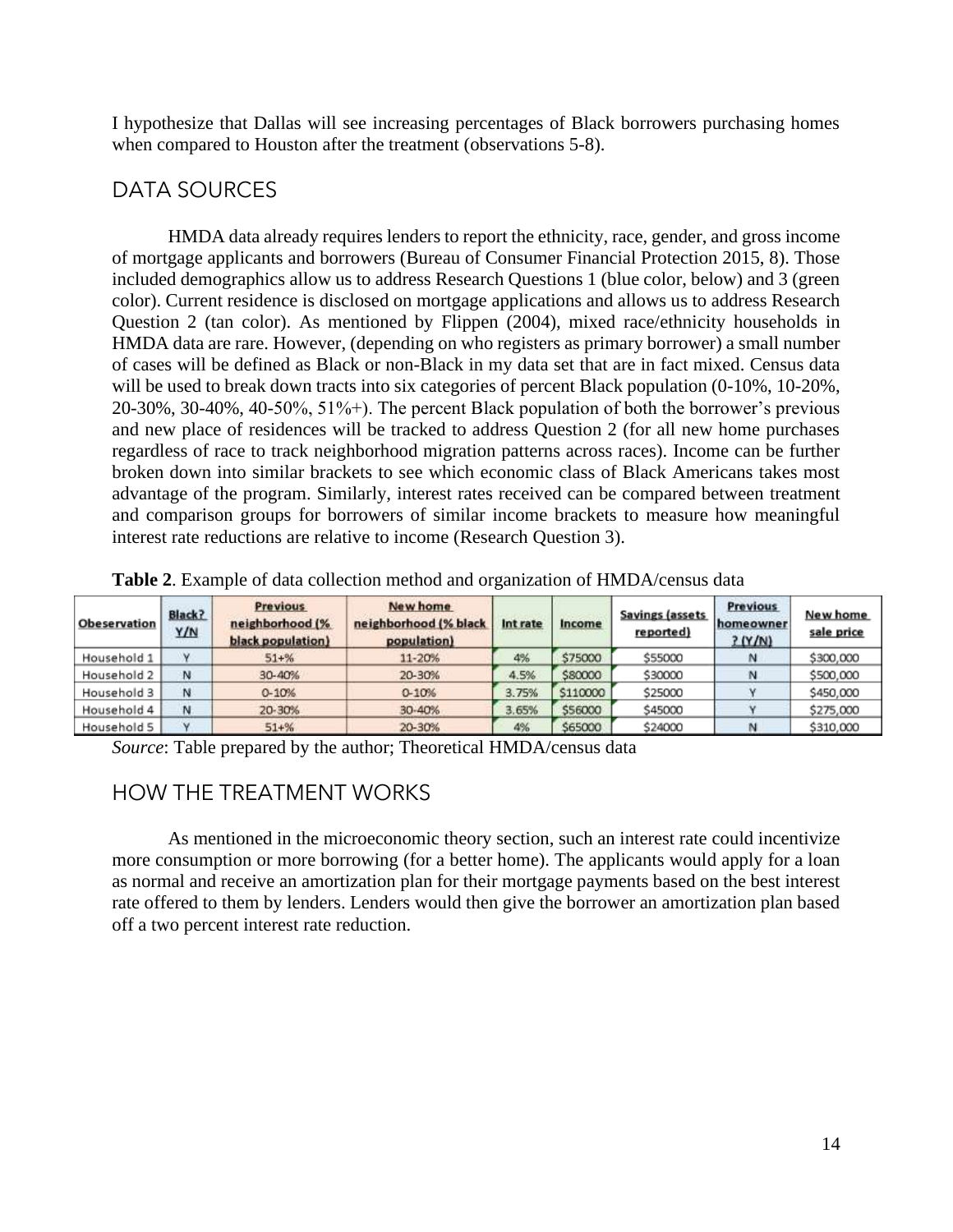I hypothesize that Dallas will see increasing percentages of Black borrowers purchasing homes when compared to Houston after the treatment (observations 5-8).

## DATA SOURCES

 included demographics allow us to address Research Questions 1 (blue color, below) and 3 (green of cases will be defined as Black or non-Black in my data set that are in fact mixed. Census data will be used to break down tracts into six categories of percent Black population (0-10%, 10-20%, and new place of residences will be tracked to address Question 2 (for all new home purchases and comparison groups for borrowers of similar income brackets to measure how meaningful HMDA data already requires lenders to report the ethnicity, race, gender, and gross income of mortgage applicants and borrowers (Bureau of Consumer Financial Protection 2015, 8). Those color). Current residence is disclosed on mortgage applications and allows us to address Research Question 2 (tan color). As mentioned by Flippen (2004), mixed race/ethnicity households in HMDA data are rare. However, (depending on who registers as primary borrower) a small number 20-30%, 30-40%, 40-50%, 51%+). The percent Black population of both the borrower's previous regardless of race to track neighborhood migration patterns across races). Income can be further broken down into similar brackets to see which economic class of Black Americans takes most advantage of the program. Similarly, interest rates received can be compared between treatment interest rate reductions are relative to income (Research Question 3).

| Obeservation | Black?<br>Y/N | <b>Previous</b><br>neighborhood (%<br>black population) | New home<br>neighborhood (% black<br>population) | Int rate | Income   | <b>Savings (assets</b><br>reported) | <b>Previous</b><br>homeowner<br>2(Y/N) | New home<br>sale price |
|--------------|---------------|---------------------------------------------------------|--------------------------------------------------|----------|----------|-------------------------------------|----------------------------------------|------------------------|
| Household 1  | v             | $51 + \%$                                               | 11-20%                                           | 4%       | \$75000  | \$55000                             |                                        | \$300,000              |
| Household 2  | N             | 30-40%                                                  | 20-30%                                           | 4.5%     | \$80000  | \$30000                             | N                                      | \$500,000              |
| Household 3  | N             | $0 - 10%$                                               | $0 - 10%$                                        | 3.75%    | \$110000 | \$25000                             |                                        | \$450,000              |
| Household 4  | N             | 20-30%                                                  | 30-40%                                           | 3.65%    | \$56000  | \$45000                             |                                        | \$275,000              |
| Household 5  | $\mathbf{v}$  | $51 + \%$                                               | 20-30%                                           | 4%       | \$65000  | \$24000                             |                                        | \$310,000              |

**Table 2**. Example of data collection method and organization of HMDA/census data

*Source*: Table prepared by the author; Theoretical HMDA/census data

# HOW THE TREATMENT WORKS

 more consumption or more borrowing (for a better home). The applicants would apply for a loan As mentioned in the microeconomic theory section, such an interest rate could incentivize as normal and receive an amortization plan for their mortgage payments based on the best interest rate offered to them by lenders. Lenders would then give the borrower an amortization plan based off a two percent interest rate reduction.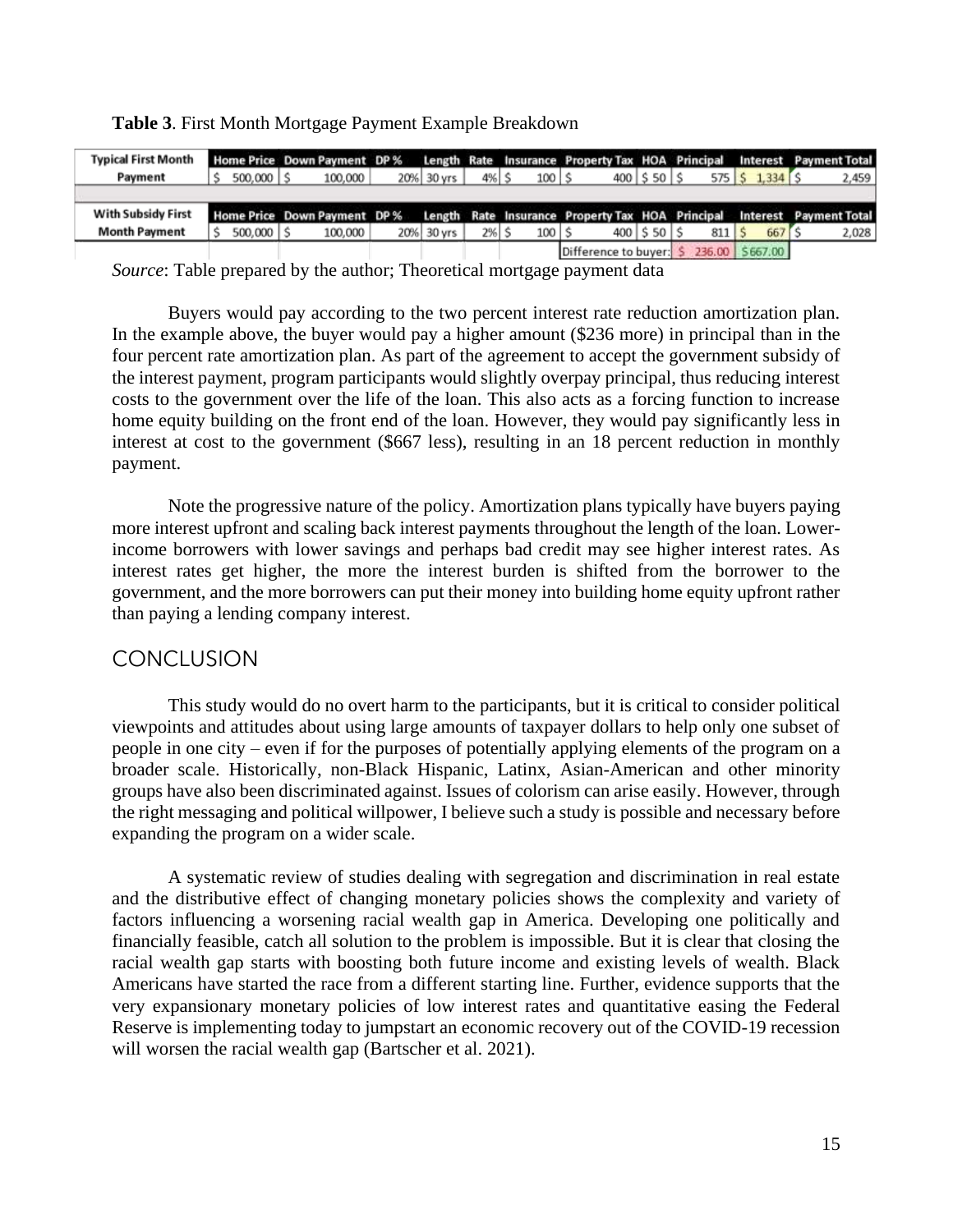| <b>Typical First Month</b> |               | Home Price Down Payment DP % Length Rate Insurance Property Tax HOA Principal Interest Payment Total |            |         |         |                   |             |                                           |                                                                                  |
|----------------------------|---------------|------------------------------------------------------------------------------------------------------|------------|---------|---------|-------------------|-------------|-------------------------------------------|----------------------------------------------------------------------------------|
| Payment                    | $500,000$   S | 100,000                                                                                              | 20% 30 yrs | 4% S    | $100$ S | 400   \$50   \$   |             | $575$ $\frac{2}{3}$ $1,334$ $\frac{2}{3}$ | 2,459                                                                            |
|                            |               |                                                                                                      |            |         |         |                   |             |                                           |                                                                                  |
|                            |               |                                                                                                      |            |         |         |                   |             |                                           |                                                                                  |
| <b>With Subsidy First</b>  |               | Home Price Down Payment DP%                                                                          |            |         |         |                   |             |                                           |                                                                                  |
| <b>Month Payment</b>       | 500,000       | 100,000                                                                                              | 20% 30 yrs | $2%$ \$ | 100   9 | $400$   \$50   \$ | $811$   $5$ | 667                                       | Length Rate Insurance Property Tax HOA Principal Interest Payment Total<br>2,028 |

**Table 3**. First Month Mortgage Payment Example Breakdown

*Source*: Table prepared by the author; Theoretical mortgage payment data

 In the example above, the buyer would pay a higher amount (\$236 more) in principal than in the the interest payment, program participants would slightly overpay principal, thus reducing interest Buyers would pay according to the two percent interest rate reduction amortization plan. four percent rate amortization plan. As part of the agreement to accept the government subsidy of costs to the government over the life of the loan. This also acts as a forcing function to increase home equity building on the front end of the loan. However, they would pay significantly less in interest at cost to the government (\$667 less), resulting in an 18 percent reduction in monthly payment.

 Note the progressive nature of the policy. Amortization plans typically have buyers paying income borrowers with lower savings and perhaps bad credit may see higher interest rates. As interest rates get higher, the more the interest burden is shifted from the borrower to the government, and the more borrowers can put their money into building home equity upfront rather more interest upfront and scaling back interest payments throughout the length of the loan. Lowerthan paying a lending company interest.

## **CONCLUSION**

 viewpoints and attitudes about using large amounts of taxpayer dollars to help only one subset of groups have also been discriminated against. Issues of colorism can arise easily. However, through the right messaging and political willpower, I believe such a study is possible and necessary before This study would do no overt harm to the participants, but it is critical to consider political people in one city – even if for the purposes of potentially applying elements of the program on a broader scale. Historically, non-Black Hispanic, Latinx, Asian-American and other minority expanding the program on a wider scale.

 racial wealth gap starts with boosting both future income and existing levels of wealth. Black Americans have started the race from a different starting line. Further, evidence supports that the Reserve is implementing today to jumpstart an economic recovery out of the COVID-19 recession A systematic review of studies dealing with segregation and discrimination in real estate and the distributive effect of changing monetary policies shows the complexity and variety of factors influencing a worsening racial wealth gap in America. Developing one politically and financially feasible, catch all solution to the problem is impossible. But it is clear that closing the very expansionary monetary policies of low interest rates and quantitative easing the Federal will worsen the racial wealth gap (Bartscher et al. 2021).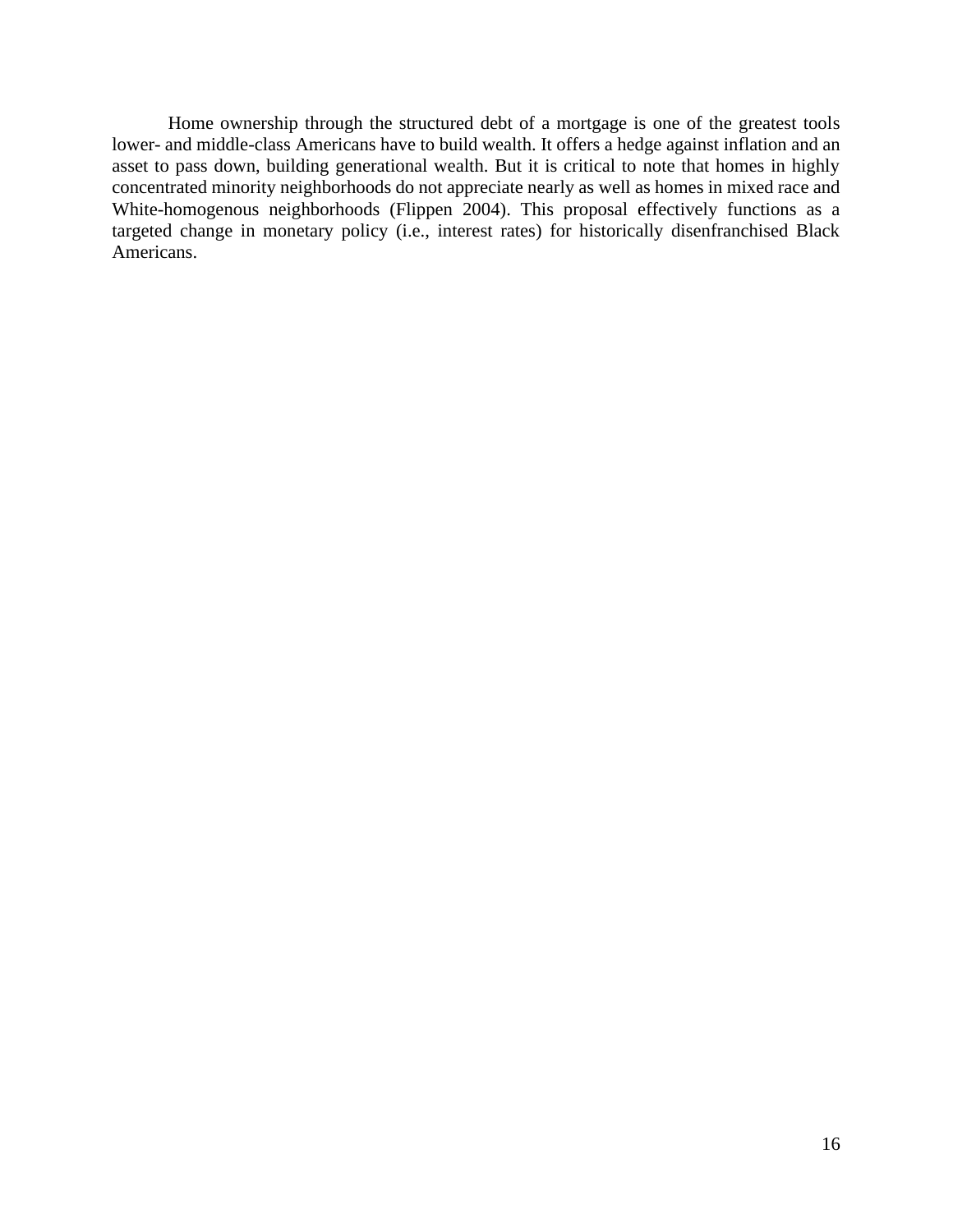Home ownership through the structured debt of a mortgage is one of the greatest tools asset to pass down, building generational wealth. But it is critical to note that homes in highly concentrated minority neighborhoods do not appreciate nearly as well as homes in mixed race and targeted change in monetary policy (i.e., interest rates) for historically disenfranchised Black lower- and middle-class Americans have to build wealth. It offers a hedge against inflation and an White-homogenous neighborhoods (Flippen 2004). This proposal effectively functions as a Americans.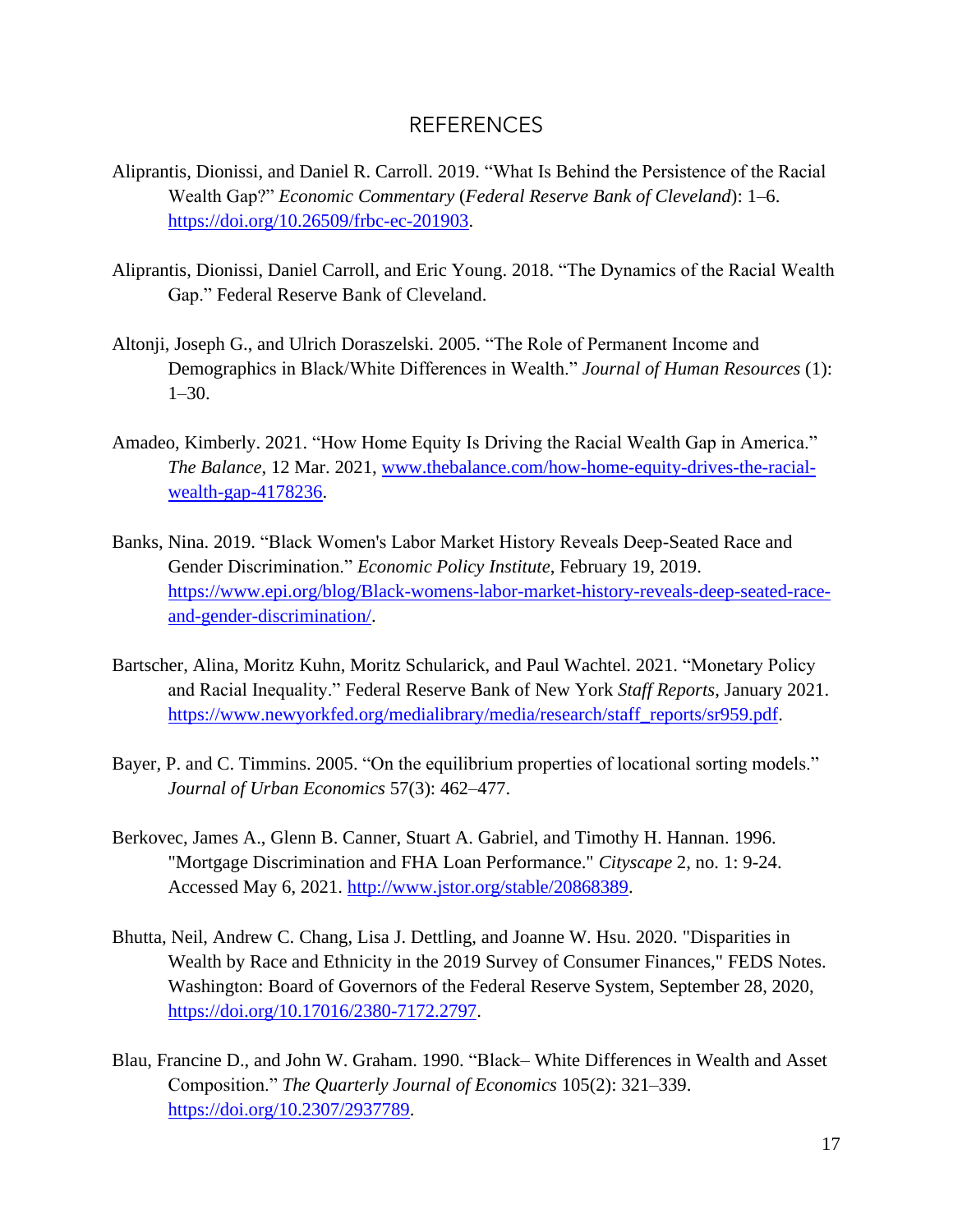## REFERENCES

- Aliprantis, Dionissi, and Daniel R. Carroll. 2019. "What Is Behind the Persistence of the Racial Wealth Gap?" *Economic Commentary* (*Federal Reserve Bank of Cleveland*): 1–6. [https://doi.org/10.26509/frbc-ec-201903.](https://doi.org/10.26509/frbc-ec-201903)
- Aliprantis, Dionissi, Daniel Carroll, and Eric Young. 2018. "The Dynamics of the Racial Wealth Gap." Federal Reserve Bank of Cleveland.
- Altonji, Joseph G., and Ulrich Doraszelski. 2005. "The Role of Permanent Income and Demographics in Black/White Differences in Wealth." *Journal of Human Resources* (1): 1–30.
- Amadeo, Kimberly. 2021. "How Home Equity Is Driving the Racial Wealth Gap in America." *The Balance*, 12 Mar. 2021, [www.thebalance.com/how-home-equity-drives-the-racial](http://www.thebalance.com/how-home-equity-drives-the-racial-wealth-gap-4178236)[wealth-gap-4178236.](http://www.thebalance.com/how-home-equity-drives-the-racial-wealth-gap-4178236)
- Banks, Nina. 2019. "Black Women's Labor Market History Reveals Deep-Seated Race and Gender Discrimination." *Economic Policy Institute*, February 19, 2019. [https://www.epi.org/blog/Black-womens-labor-market-history-reveals-deep-seated-race](https://www.epi.org/blog/Black-womens-labor-market-history-reveals-deep-seated-race-and-gender-discrimination/)[and-gender-discrimination/.](https://www.epi.org/blog/Black-womens-labor-market-history-reveals-deep-seated-race-and-gender-discrimination/)
- Bartscher, Alina, Moritz Kuhn, Moritz Schularick, and Paul Wachtel. 2021. "Monetary Policy and Racial Inequality." Federal Reserve Bank of New York *Staff Reports*, January 2021. [https://www.newyorkfed.org/medialibrary/media/research/staff\\_reports/sr959.pdf.](https://www.newyorkfed.org/medialibrary/media/research/staff_reports/sr959.pdf)
- Bayer, P. and C. Timmins. 2005. "On the equilibrium properties of locational sorting models." *Journal of Urban Economics* 57(3): 462–477.
- Berkovec, James A., Glenn B. Canner, Stuart A. Gabriel, and Timothy H. Hannan. 1996. "Mortgage Discrimination and FHA Loan Performance." *Cityscape* 2, no. 1: 9-24. Accessed May 6, 2021. [http://www.jstor.org/stable/20868389.](http://www.jstor.org/stable/20868389)
- Bhutta, Neil, Andrew C. Chang, Lisa J. Dettling, and Joanne W. Hsu. 2020. "Disparities in Wealth by Race and Ethnicity in the 2019 Survey of Consumer Finances," FEDS Notes. Washington: Board of Governors of the Federal Reserve System, September 28, 2020, [https://doi.org/10.17016/2380-7172.2797.](https://doi.org/10.17016/2380-7172.2797)
- Blau, Francine D., and John W. Graham. 1990. "Black– White Differences in Wealth and Asset Composition." *The Quarterly Journal of Economics* 105(2): 321–339. [https://doi.org/10.2307/2937789.](https://doi.org/10.2307/2937789)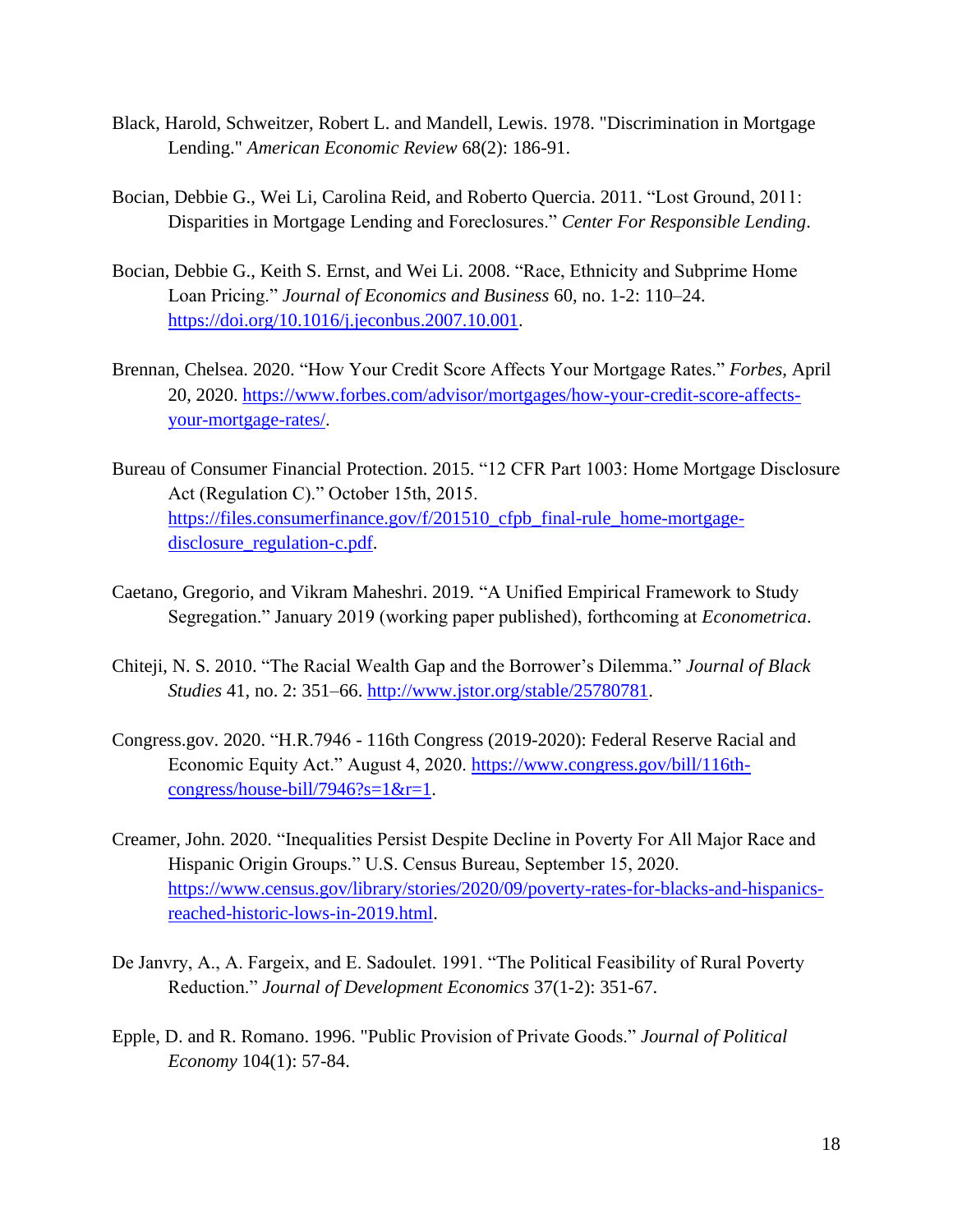- Black, Harold, Schweitzer, Robert L. and Mandell, Lewis. 1978. "Discrimination in Mortgage Lending." *American Economic Review* 68(2): 186-91.
- Bocian, Debbie G., Wei Li, Carolina Reid, and Roberto Quercia. 2011. "Lost Ground, 2011: Disparities in Mortgage Lending and Foreclosures." *Center For Responsible Lending*.
- Bocian, Debbie G., Keith S. Ernst, and Wei Li. 2008. "Race, Ethnicity and Subprime Home Loan Pricing." *Journal of Economics and Business* 60, no. 1-2: 110–24. [https://doi.org/10.1016/j.jeconbus.2007.10.001.](https://doi.org/10.1016/j.jeconbus.2007.10.001)
- Brennan, Chelsea. 2020. "How Your Credit Score Affects Your Mortgage Rates." *Forbes*, April 20, 2020. [https://www.forbes.com/advisor/mortgages/how-your-credit-score-affects](https://www.forbes.com/advisor/mortgages/how-your-credit-score-affects-your-mortgage-rates/)[your-mortgage-rates/.](https://www.forbes.com/advisor/mortgages/how-your-credit-score-affects-your-mortgage-rates/)
- Bureau of Consumer Financial Protection. 2015. "12 CFR Part 1003: Home Mortgage Disclosure Act (Regulation C)." October 15th, 2015. [https://files.consumerfinance.gov/f/201510\\_cfpb\\_final-rule\\_home-mortgage](https://files.consumerfinance.gov/f/201510_cfpb_final-rule_home-mortgage-disclosure_regulation-c.pdf)[disclosure\\_regulation-c.pdf.](https://files.consumerfinance.gov/f/201510_cfpb_final-rule_home-mortgage-disclosure_regulation-c.pdf)
- Caetano, Gregorio, and Vikram Maheshri. 2019. "A Unified Empirical Framework to Study Segregation." January 2019 (working paper published), forthcoming at *Econometrica*.
- Chiteji, N. S. 2010. "The Racial Wealth Gap and the Borrower's Dilemma." *Journal of Black Studies* 41, no. 2: 351–66. [http://www.jstor.org/stable/25780781.](http://www.jstor.org/stable/25780781)
- [Congress.gov.](https://Congress.gov) 2020. "H.R.7946 116th Congress (2019-2020): Federal Reserve Racial and Economic Equity Act." August 4, 2020. [https://www.congress.gov/bill/116th](https://www.congress.gov/bill/116th-congress/house-bill/7946?s=1&r=1)[congress/house-bill/7946?s=1&r=1.](https://www.congress.gov/bill/116th-congress/house-bill/7946?s=1&r=1)
- Creamer, John. 2020. "Inequalities Persist Despite Decline in Poverty For All Major Race and Hispanic Origin Groups." U.S. Census Bureau, September 15, 2020. [https://www.census.gov/library/stories/2020/09/poverty-rates-for-blacks-and-hispanics](https://www.census.gov/library/stories/2020/09/poverty-rates-for-blacks-and-hispanics-reached-historic-lows-in-2019.html)[reached-historic-lows-in-2019.html.](https://www.census.gov/library/stories/2020/09/poverty-rates-for-blacks-and-hispanics-reached-historic-lows-in-2019.html)
- De Janvry, A., A. Fargeix, and E. Sadoulet. 1991. "The Political Feasibility of Rural Poverty Reduction." *Journal of Development Economics* 37(1-2): 351-67.
- Epple, D. and R. Romano. 1996. "Public Provision of Private Goods." *Journal of Political Economy* 104(1): 57-84.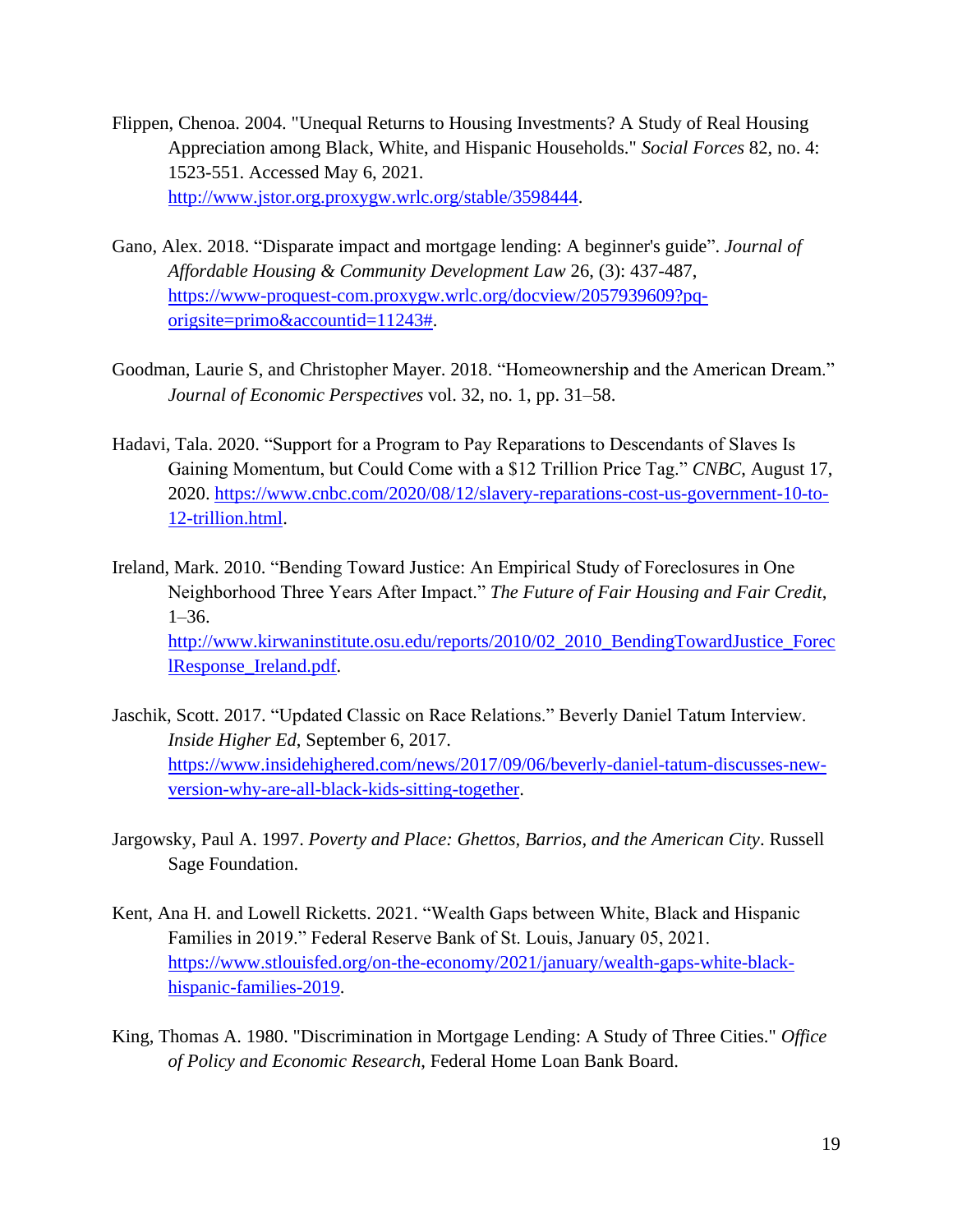- Flippen, Chenoa. 2004. "Unequal Returns to Housing Investments? A Study of Real Housing Appreciation among Black, White, and Hispanic Households." *Social Forces* 82, no. 4: 1523-551. Accessed May 6, 2021. [http://www.jstor.org.proxygw.wrlc.org/stable/3598444.](http://www.jstor.org.proxygw.wrlc.org/stable/3598444)
- Gano, Alex. 2018. "Disparate impact and mortgage lending: A beginner's guide". *Journal of Affordable Housing & Community Development Law* 26, (3): 437-487, [https://www-proquest-com.proxygw.wrlc.org/docview/2057939609?pq](https://www-proquest-com.proxygw.wrlc.org/docview/2057939609?pq-origsite=primo&accountid=11243)[origsite=primo&accountid=11243#.](https://www-proquest-com.proxygw.wrlc.org/docview/2057939609?pq-origsite=primo&accountid=11243)
- Goodman, Laurie S, and Christopher Mayer. 2018. "Homeownership and the American Dream." *Journal of Economic Perspectives* vol. 32, no. 1, pp. 31–58.
- Hadavi, Tala. 2020. "Support for a Program to Pay Reparations to Descendants of Slaves Is Gaining Momentum, but Could Come with a \$12 Trillion Price Tag." *CNBC*, August 17, 2020. [https://www.cnbc.com/2020/08/12/slavery-reparations-cost-us-government-10-to-](https://www.cnbc.com/2020/08/12/slavery-reparations-cost-us-government-10-to-12-trillion.html)[12-trillion.html.](https://www.cnbc.com/2020/08/12/slavery-reparations-cost-us-government-10-to-12-trillion.html)
- Ireland, Mark. 2010. "Bending Toward Justice: An Empirical Study of Foreclosures in One Neighborhood Three Years After Impact." *The Future of Fair Housing and Fair Credit*, 1–36. [http://www.kirwaninstitute.osu.edu/reports/2010/02\\_2010\\_BendingTowardJustice\\_Forec](http://www.kirwaninstitute.osu.edu/reports/2010/02_2010_BendingTowardJustice_ForeclResponse_Ireland.pdf)  [lResponse\\_Ireland.pdf.](http://www.kirwaninstitute.osu.edu/reports/2010/02_2010_BendingTowardJustice_ForeclResponse_Ireland.pdf)
- Jaschik, Scott. 2017. "Updated Classic on Race Relations." Beverly Daniel Tatum Interview. *Inside Higher Ed*, September 6, 2017. [https://www.insidehighered.com/news/2017/09/06/beverly-daniel-tatum-discusses-new](https://www.insidehighered.com/news/2017/09/06/beverly-daniel-tatum-discusses-new-version-why-are-all-black-kids-sitting-together)[version-why-are-all-black-kids-sitting-together.](https://www.insidehighered.com/news/2017/09/06/beverly-daniel-tatum-discusses-new-version-why-are-all-black-kids-sitting-together)
- Jargowsky, Paul A. 1997. *Poverty and Place: Ghettos, Barrios, and the American City*. Russell Sage Foundation.
- Kent, Ana H. and Lowell Ricketts. 2021. "Wealth Gaps between White, Black and Hispanic Families in 2019." Federal Reserve Bank of St. Louis, January 05, 2021. [https://www.stlouisfed.org/on-the-economy/2021/january/wealth-gaps-white-black](https://www.stlouisfed.org/on-the-economy/2021/january/wealth-gaps-white-black-hispanic-families-2019)[hispanic-families-2019.](https://www.stlouisfed.org/on-the-economy/2021/january/wealth-gaps-white-black-hispanic-families-2019)
- King, Thomas A. 1980. "Discrimination in Mortgage Lending: A Study of Three Cities." *Office of Policy and Economic Research*, Federal Home Loan Bank Board.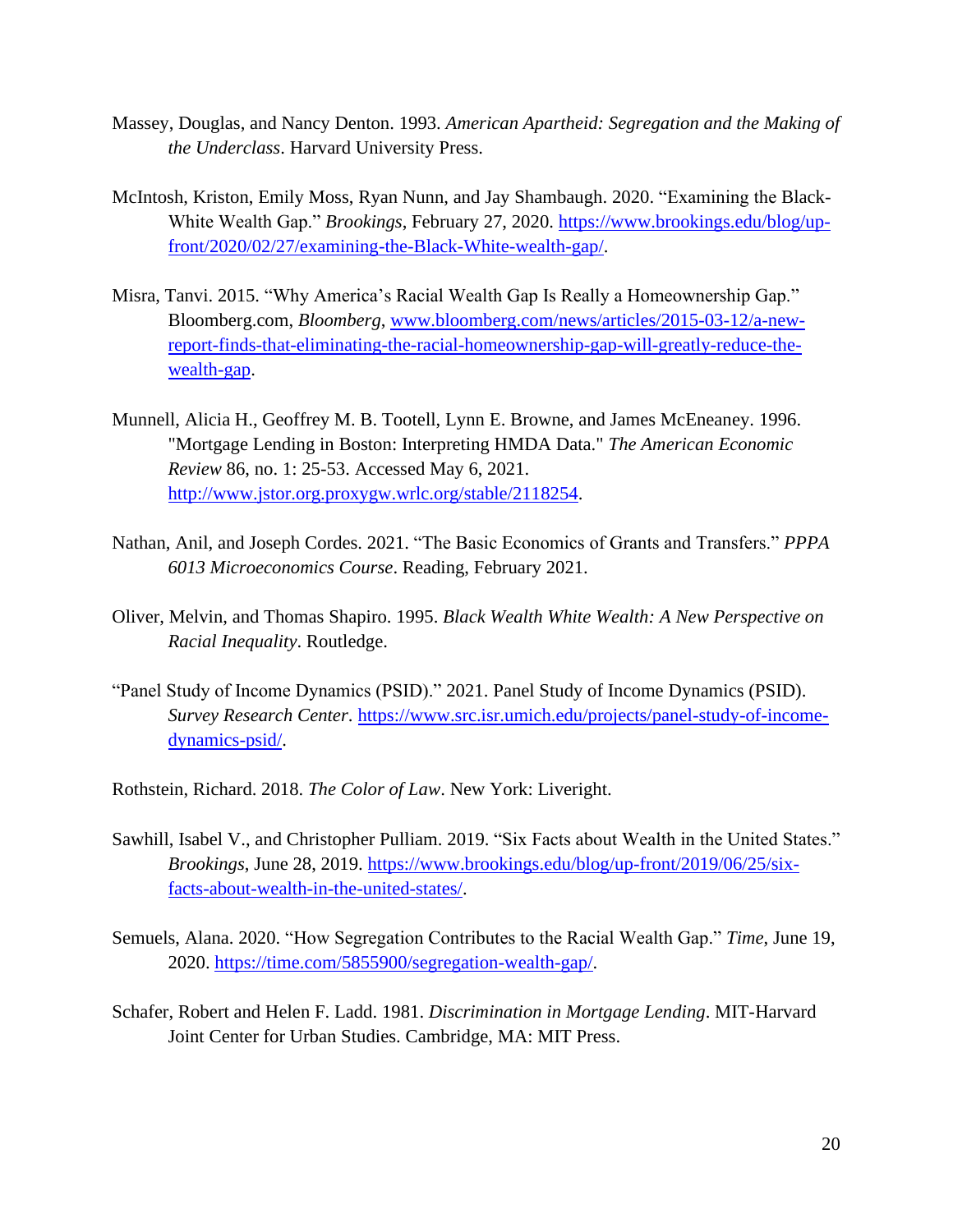- Massey, Douglas, and Nancy Denton. 1993. *American Apartheid: Segregation and the Making of the Underclass*. Harvard University Press.
- McIntosh, Kriston, Emily Moss, Ryan Nunn, and Jay Shambaugh. 2020. "Examining the Black-White Wealth Gap." *Brookings*, February 27, 2020. [https://www.brookings.edu/blog/up](https://www.brookings.edu/blog/up-front/2020/02/27/examining-the-Black-White-wealth-gap/)[front/2020/02/27/examining-the-Black-White-wealth-gap/.](https://www.brookings.edu/blog/up-front/2020/02/27/examining-the-Black-White-wealth-gap/)
- Misra, Tanvi. 2015. "Why America's Racial Wealth Gap Is Really a Homeownership Gap." [Bloomberg.com,](https://Bloomberg.com) *Bloomberg*, [www.bloomberg.com/news/articles/2015-03-12/a-new](http://www.bloomberg.com/news/articles/2015-03-12/a-new-report-finds-that-eliminating-the-racial-homeownership-gap-will-greatly-reduce-the-wealth-gap)[report-finds-that-eliminating-the-racial-homeownership-gap-will-greatly-reduce-the](http://www.bloomberg.com/news/articles/2015-03-12/a-new-report-finds-that-eliminating-the-racial-homeownership-gap-will-greatly-reduce-the-wealth-gap)[wealth-gap.](http://www.bloomberg.com/news/articles/2015-03-12/a-new-report-finds-that-eliminating-the-racial-homeownership-gap-will-greatly-reduce-the-wealth-gap)
- Munnell, Alicia H., Geoffrey M. B. Tootell, Lynn E. Browne, and James McEneaney. 1996. "Mortgage Lending in Boston: Interpreting HMDA Data." *The American Economic Review* 86, no. 1: 25-53. Accessed May 6, 2021. [http://www.jstor.org.proxygw.wrlc.org/stable/2118254.](http://www.jstor.org.proxygw.wrlc.org/stable/2118254)
- Nathan, Anil, and Joseph Cordes. 2021. "The Basic Economics of Grants and Transfers." *PPPA 6013 Microeconomics Course*. Reading, February 2021.
- Oliver, Melvin, and Thomas Shapiro. 1995. *Black Wealth White Wealth: A New Perspective on Racial Inequality*. Routledge.
- "Panel Study of Income Dynamics (PSID)." 2021. Panel Study of Income Dynamics (PSID). *Survey Research Center*. [https://www.src.isr.umich.edu/projects/panel-study-of-income](https://www.src.isr.umich.edu/projects/panel-study-of-income-dynamics-psid/)[dynamics-psid/.](https://www.src.isr.umich.edu/projects/panel-study-of-income-dynamics-psid/)

Rothstein, Richard. 2018. *The Color of Law*. New York: Liveright.

- Sawhill, Isabel V., and Christopher Pulliam. 2019. "Six Facts about Wealth in the United States." *Brookings*, June 28, 2019. [https://www.brookings.edu/blog/up-front/2019/06/25/six](https://www.brookings.edu/blog/up-front/2019/06/25/six-facts-about-wealth-in-the-united-states/)[facts-about-wealth-in-the-united-states/.](https://www.brookings.edu/blog/up-front/2019/06/25/six-facts-about-wealth-in-the-united-states/)
- Semuels, Alana. 2020. "How Segregation Contributes to the Racial Wealth Gap." *Time*, June 19, 2020. [https://time.com/5855900/segregation-wealth-gap/.](https://time.com/5855900/segregation-wealth-gap/)
- Schafer, Robert and Helen F. Ladd. 1981. *Discrimination in Mortgage Lending*. MIT-Harvard Joint Center for Urban Studies. Cambridge, MA: MIT Press.